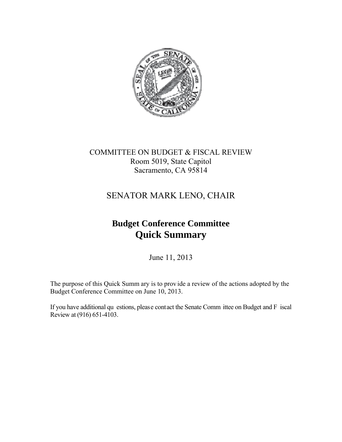

## COMMITTEE ON BUDGET & FISCAL REVIEW Room 5019, State Capitol Sacramento, CA 95814

# SENATOR MARK LENO, CHAIR

# **Budget Conference Committee Quick Summary**

June 11, 2013

The purpose of this Quick Summ ary is to prov ide a review of the actions adopted by the Budget Conference Committee on June 10, 2013.

If you have additional qu estions, please contact the Senate Comm ittee on Budget and F iscal Review at (916) 651-4103.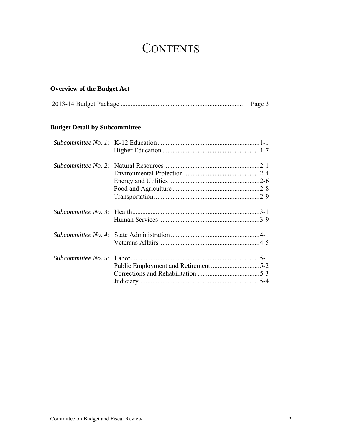# **CONTENTS**

## **Overview of the Budget Act**

|  | Page 3 |
|--|--------|
|--|--------|

## **Budget Detail by Subcommittee**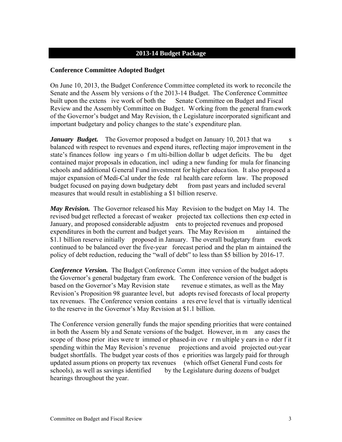#### **2013-14 Budget Package**

#### **Conference Committee Adopted Budget**

On June 10, 2013, the Budget Conference Committee completed its work to reconcile the Senate and the Assem bly versions o f the 2013-14 Budget. The Conference Committee built upon the extens ive work of both the Senate Committee on Budget and Fiscal Review and the Assem bly Committee on Budget. Working from the general fram ework of the Governor's budget and May Revision, th e Legislature incorporated significant and important budgetary and policy changes to the state's expenditure plan.

*January Budget.* The Governor proposed a budget on January 10, 2013 that wa s balanced with respect to revenues and expend itures, reflecting major improvement in the state's finances follow ing years o f m ulti-billion dollar b udget deficits. The bu dget contained major proposals in education, incl uding a new funding for mula for financing schools and additional General Fund investment for higher education. It also proposed a major expansion of Medi-Cal under the fede ral health care reform law. The proposed budget focused on paying down budgetary debt from past years and included several measures that would result in establishing a \$1 billion reserve.

*May Revision.* The Governor released his May Revision to the budget on May 14. The revised budget reflected a forecast of weaker projected tax collections then exp ected in January, and proposed considerable adjustm ents to projected revenues and proposed expenditures in both the current and budget years. The May Revision m aintained the \$1.1 billion reserve initially proposed in January. The overall budgetary fram ework continued to be balanced over the five-year forecast period and the plan m aintained the policy of debt reduction, reducing the "wall of debt" to less than \$5 billion by 2016-17.

*Conference Version.* The Budget Conference Comm ittee version of the budget adopts the Governor's general budgetary fram ework. The Conference version of the budget is based on the Governor's May Revision state revenue e stimates, as well as the May Revision's Proposition 98 guarantee level, but adopts revised forecasts of local property tax revenues. The Conference version contains a res erve level that is virtually identical to the reserve in the Governor's May Revision at \$1.1 billion.

The Conference version generally funds the major spending priorities that were contained in both the Assem bly and Senate versions of the budget. However, in m any cases the scope of those prior ities were tr immed or phased-in ove r m ultiple y ears in o rder f it spending within the May Revision's revenue projections and avoid projected out-year budget shortfalls. The budget year costs of thos e priorities was largely paid for through updated assum ptions on property tax revenues (which offset General Fund costs for schools), as well as savings identified by the Legislature during dozens of budget hearings throughout the year.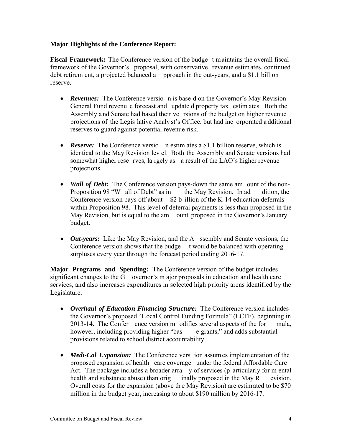#### **Major Highlights of the Conference Report:**

**Fiscal Framework:** The Conference version of the budge t maintains the overall fiscal framework of the Governor's proposal, with conservative revenue estimates, continued debt retirem ent, a projected balanced a pproach in the out-years, and a \$1.1 billion reserve.

- *Revenues:* The Conference versio n is base d on the Governor's May Revision General Fund revenu e forecast and update d property tax estim ates. Both the Assembly a nd Senate had based their ve rsions of the budget on higher revenue projections of the Legis lative Analy st's Of fice, but had inc orporated a dditional reserves to guard against potential revenue risk.
- **Reserve:** The Conference versio n estim ates a \$1.1 billion reserve, which is identical to the May Revision lev el. Both the Assembly and Senate versions had somewhat higher rese rves, la rgely as a result of the LAO's higher revenue projections.
- *Wall of Debt:* The Conference version pays-down the same am ount of the non-Proposition 98 "W all of Debt" as in the May Revision. In ad dition, the Conference version pays off about  $$2 b$  illion of the K-14 education deferrals within Proposition 98. This level of deferral payments is less than proposed in the May Revision, but is equal to the am ount proposed in the Governor's January budget.
- *Out-years:* Like the May Revision, and the A ssembly and Senate versions, the Conference version shows that the budge t would be balanced with operating surpluses every year through the forecast period ending 2016-17.

**Major Programs and Spending:** The Conference version of the budget includes significant changes to the  $\overline{G}$  overnor's m ajor proposals in education and health care services, and also increases expenditures in selected high p riority areas identified by the Legislature.

- *Overhaul of Education Financing Structure:* The Conference version includes the Governor's proposed "Local Control Funding Formula" (LCFF), beginning in 2013-14. The Confer ence version m odifies several aspects of the for mula, however, including providing higher "bas e grants," and adds substantial provisions related to school district accountability.
- *Medi-Cal Expansion:* The Conference vers ion assum es implem entation of the proposed expansion of health care coverage under the federal Affordable Care Act. The package includes a broader arra y of services (p articularly for m ental health and substance abuse) than orig inally proposed in the May R evision. Overall costs for the expansion (above th e May Revision) are estimated to be \$70 million in the budget year, increasing to about \$190 million by 2016-17.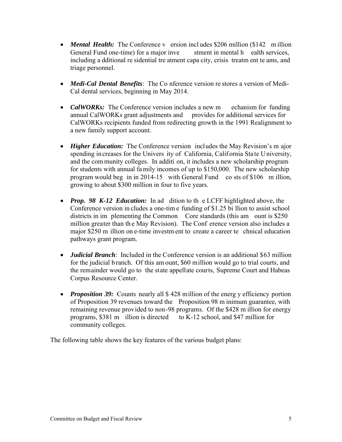- *Mental Health:* The Conference v ersion includes \$206 million (\$142 million) General Fund one-time) for a major inve stment in mental h ealth services, including a dditional re sidential tre atment capa city, crisis treatm ent te ams, and triage personnel.
- *Medi-Cal Dental Benefits*: The Co nference version re stores a version of Medi-Cal dental services, beginning in May 2014.
- **CalWORKs:** The Conference version includes a new m echanism for funding annual CalWORKs grant adjustments and provides for additional services for CalWORKs recipients funded from redirecting growth in the 1991 Realignment to a new family support account.
- *Higher Education:* The Conference version includes the May Revision's m ajor spending in creases for the Univers ity of California, California State University, and the com munity colleges. In additi on, it includes a new scholarship program for students with annual fa mily incomes of up to \$150,000. The new scholarship program would beg in in 2014-15 with General Fund co sts of \$106 m illion, growing to about \$300 million in four to five years.
- *Prop. 98 K-12 Education:* In ad dition to th e LCFF highlighted above, the Conference version in cludes a one-tim e funding of \$1.25 bi llion to assist school districts in im plementing the Common Core standards (this am ount is \$250) million greater than th e May Revision). The Conf erence version also includes a major \$250 m illion on e-time investm ent to create a career te chnical education pathways grant program.
- *Judicial Branch*: Included in the Conference version is an additional \$63 million for the judicial b ranch. Of this am ount, \$60 million would go to trial courts, and the remainder would go to the state appellate courts, Supreme Court and Habeas Corpus Resource Center.
- *Proposition 39:* Counts nearly all \$428 million of the energ y efficiency portion of Proposition 39 revenues toward the Proposition 98 m inimum guarantee, with remaining revenue provided to non-98 programs. Of the \$428 m illion for energy programs, \$381 m illion is directed to K-12 school, and \$47 million for community colleges.

The following table shows the key features of the various budget plans: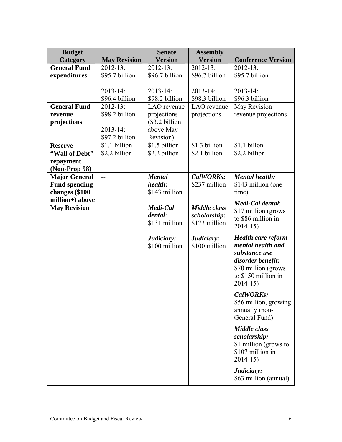| <b>Budget</b>        |                     | <b>Senate</b>  | <b>Assembly</b>     |                                                |
|----------------------|---------------------|----------------|---------------------|------------------------------------------------|
| Category             | <b>May Revision</b> | <b>Version</b> | <b>Version</b>      | <b>Conference Version</b>                      |
| <b>General Fund</b>  | $2012 - 13$ :       | $2012 - 13$ :  | $2012 - 13$ :       | $2012 - 13$ :                                  |
| expenditures         | \$95.7 billion      | \$96.7 billion | \$96.7 billion      | \$95.7 billion                                 |
|                      |                     |                |                     |                                                |
|                      | 2013-14:            | $2013 - 14$ :  | $2013 - 14$ :       | $2013 - 14$ :                                  |
|                      | \$96.4 billion      | \$98.2 billion | \$98.3 billion      | \$96.3 billion                                 |
| <b>General Fund</b>  | $2012 - 13$ :       | LAO revenue    | LAO revenue         | May Revision                                   |
| revenue              | \$98.2 billion      | projections    | projections         | revenue projections                            |
| projections          |                     | \$3.2 billion  |                     |                                                |
|                      | 2013-14:            | above May      |                     |                                                |
|                      | \$97.2 billion      | Revision)      |                     |                                                |
| <b>Reserve</b>       | \$1.1 billion       | \$1.5 billion  | \$1.3 billion       | \$1.1 billon                                   |
| "Wall of Debt"       | \$2.2 billion       | \$2.2 billion  | \$2.1 billion       | \$2.2 billion                                  |
| repayment            |                     |                |                     |                                                |
| (Non-Prop 98)        |                     |                |                     |                                                |
| <b>Major General</b> | $-$                 | <b>Mental</b>  | <b>CalWORKs:</b>    | <b>Mental health:</b>                          |
| <b>Fund spending</b> |                     | health:        | \$237 million       | \$143 million (one-                            |
| changes (\$100       |                     | \$143 million  |                     | time)                                          |
| million+) above      |                     |                |                     | Medi-Cal dental:                               |
| <b>May Revision</b>  |                     | Medi-Cal       | <b>Middle class</b> | \$17 million (grows                            |
|                      |                     | dental:        | scholarship:        | to \$86 million in                             |
|                      |                     | \$131 million  | \$173 million       | $2014 - 15$                                    |
|                      |                     |                |                     |                                                |
|                      |                     | Judiciary:     | Judiciary:          | <b>Health care reform</b><br>mental health and |
|                      |                     | \$100 million  | \$100 million       | substance use                                  |
|                      |                     |                |                     | disorder benefit:                              |
|                      |                     |                |                     | \$70 million (grows                            |
|                      |                     |                |                     | to \$150 million in                            |
|                      |                     |                |                     | $2014 - 15$                                    |
|                      |                     |                |                     |                                                |
|                      |                     |                |                     | CalWORKs:                                      |
|                      |                     |                |                     | \$56 million, growing                          |
|                      |                     |                |                     | annually (non-                                 |
|                      |                     |                |                     | General Fund)                                  |
|                      |                     |                |                     | <b>Middle class</b>                            |
|                      |                     |                |                     | scholarship:                                   |
|                      |                     |                |                     | \$1 million (grows to                          |
|                      |                     |                |                     | \$107 million in                               |
|                      |                     |                |                     | $2014 - 15$                                    |
|                      |                     |                |                     | Judiciary:                                     |
|                      |                     |                |                     | \$63 million (annual)                          |
|                      |                     |                |                     |                                                |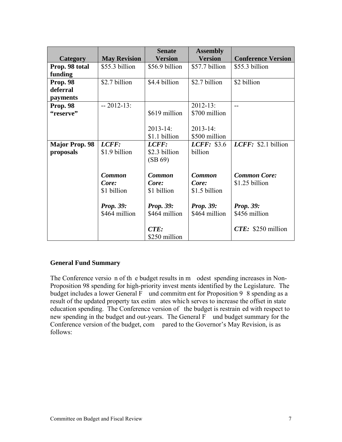|                       |                     | <b>Senate</b>    | <b>Assembly</b>  |                           |
|-----------------------|---------------------|------------------|------------------|---------------------------|
| <b>Category</b>       | <b>May Revision</b> | <b>Version</b>   | <b>Version</b>   | <b>Conference Version</b> |
| Prop. 98 total        | \$55.3 billion      | \$56.9 billion   | \$57.7 billion   | \$55.3 billion            |
| funding               |                     |                  |                  |                           |
| <b>Prop. 98</b>       | \$2.7 billion       | \$4.4 billion    | \$2.7 billion    | \$2 billion               |
| deferral              |                     |                  |                  |                           |
| payments              |                     |                  |                  |                           |
| Prop. 98              | $-2012-13$ :        |                  | $2012 - 13$ :    | --                        |
| "reserve"             |                     | \$619 million    | \$700 million    |                           |
|                       |                     |                  |                  |                           |
|                       |                     | $2013 - 14$ :    | $2013 - 14$ :    |                           |
|                       |                     | \$1.1 billion    | \$500 million    |                           |
| <b>Major Prop. 98</b> | LCFF:               | LCFF:            | LCFF: \$3.6      | LCFF: \$2.1 billion       |
| proposals             | \$1.9 billion       | \$2.3 billion    | billion          |                           |
|                       |                     | (SB 69)          |                  |                           |
|                       |                     |                  |                  |                           |
|                       | <b>Common</b>       | <b>Common</b>    | <b>Common</b>    | <b>Common Core:</b>       |
|                       | Core:               | Core:            | Core:            | \$1.25 billion            |
|                       | \$1 billion         | \$1 billion      | \$1.5 billion    |                           |
|                       |                     |                  |                  |                           |
|                       | <b>Prop. 39:</b>    | <b>Prop. 39:</b> | <b>Prop. 39:</b> | <b>Prop. 39:</b>          |
|                       | \$464 million       | \$464 million    | \$464 million    | \$456 million             |
|                       |                     |                  |                  |                           |
|                       |                     | CTE:             |                  | $CTE: $250$ million       |
|                       |                     | \$250 million    |                  |                           |

## **General Fund Summary**

The Conference versio n of th e budget results in m odest spending increases in Non-Proposition 98 spending for high-priority invest ments identified by the Legislature. The budget includes a lower General F und commitm ent for Proposition 9 8 spending as a result of the updated property tax estim ates which serves to increase the offset in state education spending. The Conference version of the budget is restrain ed with respect to new spending in the budget and out-years. The General F und budget summary for the Conference version of the budget, com pared to the Governor's May Revision, is as follows: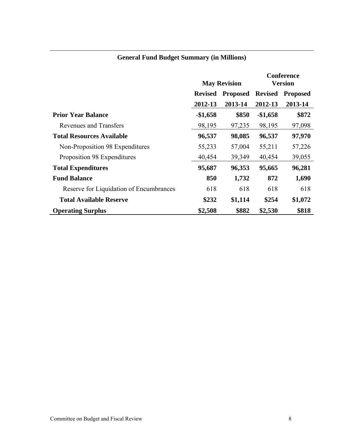|                                         | <b>May Revision</b>               |         | <b>Conference</b><br><b>Version</b> |                 |
|-----------------------------------------|-----------------------------------|---------|-------------------------------------|-----------------|
|                                         | <b>Revised</b><br><b>Proposed</b> |         | <b>Revised</b>                      | <b>Proposed</b> |
|                                         | 2012-13                           | 2013-14 | 2012-13                             | 2013-14         |
| <b>Prior Year Balance</b>               | $-\$1,658$                        | \$850   | $-\$1,658$                          | \$872           |
| Revenues and Transfers                  | 98,195                            | 97,235  | 98,195                              | 97,098          |
| <b>Total Resources Available</b>        | 96,537                            | 98,085  | 96,537                              | 97,970          |
| Non-Proposition 98 Expenditures         | 55,233                            | 57,004  | 55,211                              | 57,226          |
| Proposition 98 Expenditures             | 40,454                            | 39,349  | 40,454                              | 39,055          |
| <b>Total Expenditures</b>               | 95,687                            | 96,353  | 95,665                              | 96,281          |
| <b>Fund Balance</b>                     | 850                               | 1,732   | 872                                 | 1,690           |
| Reserve for Liquidation of Encumbrances | 618                               | 618     | 618                                 | 618             |
| <b>Total Available Reserve</b>          | \$232                             | \$1,114 | \$254                               | \$1,072         |
| <b>Operating Surplus</b>                | \$2,508                           | \$882   | \$2,530                             | \$818           |

## **General Fund Budget Summary (in Millions)**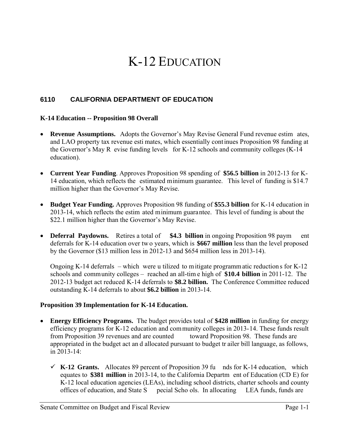# K-12 EDUCATION

### **6110 CALIFORNIA DEPARTMENT OF EDUCATION**

#### **K-14 Education -- Proposition 98 Overall**

- **Revenue Assumptions.** Adopts the Governor's May Revise General Fund revenue estim ates, and LAO property tax revenue esti mates, which essentially continues Proposition 98 funding at the Governor's May R evise funding levels for K-12 schools and community colleges (K-14 education).
- **Current Year Funding**. Approves Proposition 98 spending of **\$56.5 billion** in 2012-13 for K-14 education, which reflects the estimated minimum guarantee. This level of funding is \$14.7 million higher than the Governor's May Revise.
- **Budget Year Funding.** Approves Proposition 98 funding of **\$55.3 billion** for K-14 education in 2013-14, which reflects the estim ated minimum guarantee. This level of funding is about the \$22.1 million higher than the Governor's May Revise.
- **Deferral Paydowns.** Retires a total of \$4.3 billion in ongoing Proposition 98 paym ent deferrals for K-14 education over tw o years, which is **\$667 million** less than the level proposed by the Governor (\$13 million less in 2012-13 and \$654 million less in 2013-14).

Ongoing K-14 deferrals – which were u tilized to mitigate programm atic reduction s for K-12 schools and community colleges – reached an all-tim e high of **\$10.4 billion** in 2011-12. The 2012-13 budget act reduced K-14 deferrals to **\$8.2 billion.** The Conference Committee reduced outstanding K-14 deferrals to about **\$6.2 billion** in 2013-14.

#### **Proposition 39 Implementation for K-14 Education.**

- **Energy Efficiency Programs.** The budget provides total of **\$428 million** in funding for energy efficiency programs for K-12 education and community colleges in 2013-14. These funds result from Proposition 39 revenues and are counted toward Proposition 98. These funds are appropriated in the budget act an d allocated pursuant to budget tr ailer bill language, as follows, in 2013-14:
	- $\checkmark$  K-12 Grants. Allocates 89 percent of Proposition 39 fu nds for K-14 education, which equates to **\$381 million** in 2013-14, to the California Departm ent of Education (CD E) for K-12 local education agencies (LEAs), including school districts, charter schools and county offices of education, and State S pecial Scho ols. In allocating LEA funds, funds are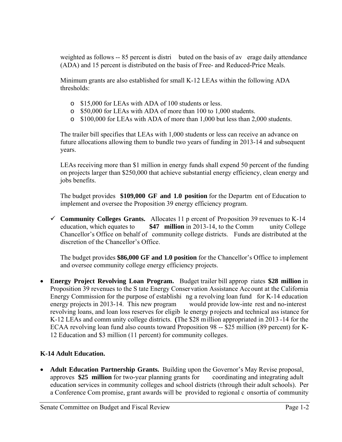weighted as follows -- 85 percent is distri buted on the basis of average daily attendance (ADA) and 15 percent is distributed on the basis of Free- and Reduced-Price Meals.

Minimum grants are also established for small K-12 LEAs within the following ADA thresholds:

- o \$15,000 for LEAs with ADA of 100 students or less.
- o \$50,000 for LEAs with ADA of more than 100 to 1,000 students.
- o \$100,000 for LEAs with ADA of more than 1,000 but less than 2,000 students.

The trailer bill specifies that LEAs with 1,000 students or less can receive an advance on future allocations allowing them to bundle two years of funding in 2013-14 and subsequent years.

LEAs receiving more than \$1 million in energy funds shall expend 50 percent of the funding on projects larger than \$250,000 that achieve substantial energy efficiency, clean energy and jobs benefits.

The budget provides **\$109,000 GF and 1.0 position** for the Departm ent of Education to implement and oversee the Proposition 39 energy efficiency program.

**Community Colleges Grants.** Allocates 11 p ercent of Proposition 39 revenues to K-14 education, which equates to **\$47 million** in 2013-14, to the Comm unity College Chancellor's Office on behalf of community college districts. Funds are distributed at the discretion of the Chancellor's Office.

The budget provides **\$86,000 GF and 1.0 position** for the Chancellor's Office to implement and oversee community college energy efficiency projects.

 **Energy Project Revolving Loan Program.** Budget trailer bill approp riates **\$28 million** in Proposition 39 revenues to the S tate Energy Conservation Assistance Account at the California Energy Commission for the purpose of establishi ng a revolving loan fund for K-14 education energy projects in 2013-14. This new program would provide low-inte rest and no-interest revolving loans, and loan loss reserves for eligib le energy p rojects and technical ass istance for K-12 LEAs and comm unity college districts. **(**The \$28 million appropriated in 2013 -14 for the ECAA revolving loan fund also counts toward Proposition 98 -- \$25 million (89 percent) for K-12 Education and \$3 million (11 percent) for community colleges.

### **K-14 Adult Education.**

 **Adult Education Partnership Grants.** Building upon the Governor's May Revise proposal, approves **\$25 million** for two-year planning grants for coordinating and integrating adult education services in community colleges and school districts (through their adult schools). Per a Conference Com promise, grant awards will be provided to regional c onsortia of community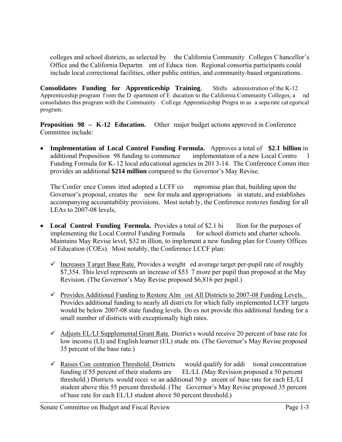colleges and school districts, as selected by the California Community Colleges Chancellor's Office and the California Departm ent of Educa tion. Regional consortia participants could include local correctional facilities, other public entities, and community-based organizations.

**Consolidates Funding for Apprenticeship Training**. Shifts administration of the K-12 Apprenticeship program f rom the D epartment of E ducation to the California Community Colleges, a nd consolidates this program with the Community Coll ege Apprenticeship Progra m as a sepa rate cat egorical program.

**Proposition 98 – K-12 Education.** Other major budget actions approved in Conference Committee include:

 **Implementation of Local Control Funding Formula.** Approves a total of **\$2.1 billion** in additional Proposition 98 funding to commence implementation of a new Local Contro l Funding Formula for K- 12 local educational agencies in 201 3-14. The Conference Comm ittee provides an additional **\$214 million** compared to the Governor's May Revise.

The Confer ence Comm itted adopted a LCFF co mpromise plan that, building upon the Governor's proposal, creates the new for mula and appropriations in statute, and establishes accompanying accountability provisions. Most notab ly, the Conference restores funding for all LEAs to 2007-08 levels,

- **Local Control Funding Formula.** Provides a total of \$2.1 bi llion for the purposes of implementing the Local Control Funding Formula for school districts and charter schools. Maintains May Revise level, \$32 m illion, to implement a new funding plan for County Offices of Education (COEs). Most notably, the Conference LCCF plan:
	- $\checkmark$  Increases T arget Base Rate. Provides a weight ed average target per-pupil rate of roughly \$7,354. This level represents an increase of \$53 7 more per pupil than proposed at the May Revision. (The Governor's May Revise proposed \$6,816 per pupil.)
	- $\checkmark$  Provides Additional Funding to Restore Alm ost All Districts to 2007-08 Funding Levels. Provides additional funding to nearly all distri cts for which fully implemented LCFF targets would be below 2007-08 state funding levels. Do es not provide this additional funding for a small number of districts with exceptionally high rates.
	- $\checkmark$  Adjusts EL/LI Supplemental Grant Rate. District s would receive 20 percent of base rate for low income (LI) and English learner (EL) stude nts. (The Governor's May Revise proposed 35 percent of the base rate.)
	- $\overline{\phantom{a}}$  Raises Con centration Threshold. Districts would qualify for addi tional concentration funding if 55 percent of their students are EL/LI. (May Revision proposed a 50 percent EL/LI. (May Revision proposed a 50 percent threshold.) Districts would recei ve an additional 50 p ercent of base rate for each EL/LI student above this 55 percent threshold. (The Governor's May Revise proposed 35 percent of base rate for each EL/LI student above 50 percent threshold.)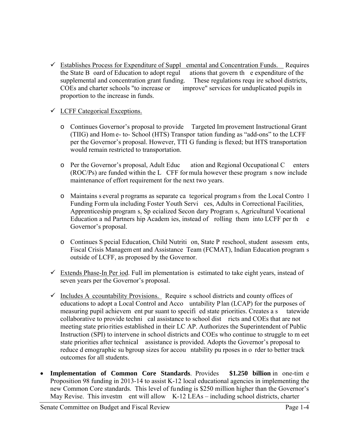$\checkmark$  Establishes Process for Expenditure of Suppl emental and Concentration Funds. Requires the State B oard of Education to adopt regul ations that govern th e expenditure of the supplemental and concentration grant funding. These regulations requ ire school districts, COEs and charter schools "to increase or improve" services for unduplicated pupils in proportion to the increase in funds.

#### $\checkmark$  LCFF Categorical Exceptions.

- o Continues Governor's proposal to provide Targeted Im provement Instructional Grant (TIIG) and Hom e- to- School (HTS) Transpor tation funding as "add-ons" to the LCFF per the Governor's proposal. However, TTI G funding is flexed; but HTS transportation would remain restricted to transportation.
- o Per the Governor's proposal, Adult Educ ation and Regional Occupational C enters (ROC/Ps) are funded within the L CFF for mula however these program s now include maintenance of effort requirement for the next two years.
- o Maintains s everal p rograms as separate ca tegorical program s from the Local Contro l Funding Form ula including Foster Youth Servi ces, Adults in Correctional Facilities, Apprenticeship program s, Sp ecialized Secon dary Program s, Agricultural Vocational Education a nd Partners hip Academ ies, instead of rolling them into LCFF per th e Governor's proposal.
- o Continues S pecial Education, Child Nutriti on, State P reschool, student assessm ents, Fiscal Crisis Managem ent and Assistance Team (FCMAT), Indian Education program s outside of LCFF, as proposed by the Governor.
- $\checkmark$  Extends Phase-In Per iod. Full im plementation is estimated to take eight years, instead of seven years per the Governor's proposal.
- $\checkmark$  Includes A ccountability Provisions. Require s school districts and county offices of educations to adopt a Local Control and Acco untability Plan (LCAP) for the purposes of measuring pupil achievem ent pur suant to specifi ed state priorities. Creates a s tatewide collaborative to provide techni cal assistance to school dist ricts and COEs that are not meeting state prio rities established in their LC AP. Authorizes the Superintendent of Public Instruction (SPI) to intervene in school districts and COEs who continue to struggle to m eet state priorities after technical assistance is provided. Adopts the Governor's proposal to reduce d emographic su bgroup sizes for accou ntability pu rposes in o rder to better track outcomes for all students.
- **Implementation of Common Core Standards**. Provides **\$1.250 billion** in one-tim e Proposition 98 funding in 2013-14 to assist K-12 local educational agencies in implementing the new Common Core standards. This level of funding is \$250 million higher than the Governor's May Revise. This investm ent will allow K-12 LEAs – including school districts, charter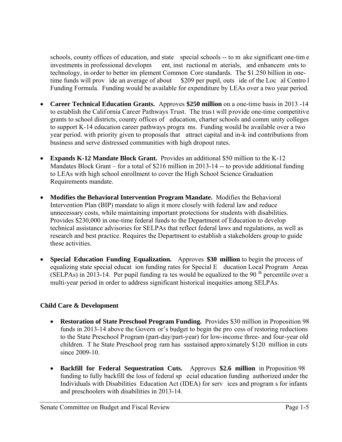schools, county offices of education, and state special schools -- to m ake significant one-time investments in professional developm ent, inst ructional m aterials, and enhancem ents to technology, in order to better im plement Common Core standards. The \$1.250 billion in onetime funds will prov ide an average of about \$209 per pupil, outs ide of the Loc al Contro l Funding Formula. Funding would be available for expenditure by LEAs over a two year period.

- **Career Technical Education Grants.** Approves **\$250 million** on a one-time basis in 2013 -14 to establish the California Career Pathways Trust. The trus t will provide one-time competitive grants to school districts, county offices of education, charter schools and comm unity colleges to support K-14 education career pathways progra ms. Funding would be available over a two year period. with priority given to proposals that attract capital and in-k ind contributions from business and serve distressed communities with high dropout rates.
- **Expands K-12 Mandate Block Grant.** Provides an additional \$50 million to the K-12 Mandates Block Grant – for a total of \$216 million in 2013-14 -- to provide additional funding to LEAs with high school enrollment to cover the High School Science Graduation Requirements mandate.
- **Modifies the Behavioral Intervention Program Mandate.** Modifies the Behavioral Intervention Plan (BIP) mandate to align it more closely with federal law and reduce unnecessary costs, while maintaining important protections for students with disabilities. Provides \$230,000 in one-time federal funds to the Department of Education to develop technical assistance advisories for SELPAs that reflect federal laws and regulations, as well as research and best practice. Requires the Department to establish a stakeholders group to guide these activities.
- **Special Education Funding Equalization.** Approves **\$30 million** to begin the process of equalizing state special educat ion funding rates for Special E ducation Local Program Areas (SELPAs) in 2013-14. Per pupil funding ra tes would be equalized to the 90<sup>th</sup> percentile over a multi-year period in order to address significant historical inequities among SELPAs.

### **Child Care & Development**

- **Restoration of State Preschool Program Funding.** Provides \$30 million in Proposition 98 funds in 2013-14 above the Govern or's budget to begin the pro cess of restoring reductions to the State Preschool P rogram (part-day/part-year) for low-income three- and four-year old children. T he State Preschool prog ram has sustained appro ximately \$120 million in cuts since 2009-10.
- **Backfill for Federal Sequestration Cuts.** Approves **\$2.6 million** in Proposition 98 funding to fully backfill the loss of federal sp ecial education funding authorized under the Individuals with Disabilities Education Act (IDEA) for serv ices and program s for infants and preschoolers with disabilities in 2013-14.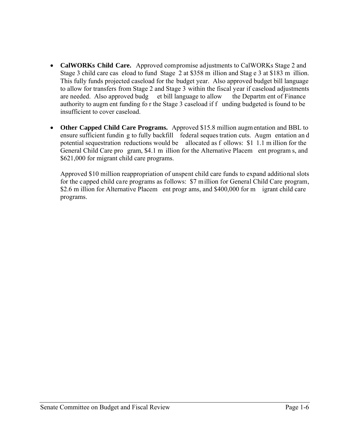- **CalWORKs Child Care.** Approved compromise adjustments to CalWORKs Stage 2 and Stage 3 child care cas eload to fund Stage 2 at \$358 m illion and Stag e 3 at \$183 m illion. This fully funds projected caseload for the budget year. Also approved budget bill language to allow for transfers from Stage 2 and Stage 3 within the fiscal year if caseload adjustments are needed. Also approved budg et bill language to allow the Departm ent of Finance authority to augm ent funding fo r the Stage 3 caseload if f unding budgeted is found to be insufficient to cover caseload.
- **Other Capped Child Care Programs.** Approved \$15.8 million augmentation and BBL to ensure sufficient fundin g to fully backfill federal seques tration cuts. Augm entation an d potential sequestration reductions would be allocated as f ollows: \$1 1.1 m illion for the General Child Care pro gram, \$4.1 m illion for the Alternative Placem ent program s, and \$621,000 for migrant child care programs.

Approved \$10 million reappropriation of unspent child care funds to expand additional slots for the capped child care programs as follows: \$7 million for General Child Care program, \$2.6 m illion for Alternative Placem ent progr ams, and \$400,000 for m igrant child care programs.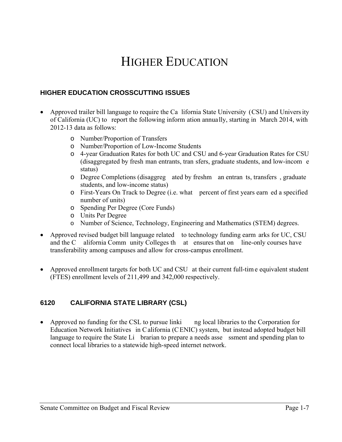# HIGHER EDUCATION

### **HIGHER EDUCATION CROSSCUTTING ISSUES**

- Approved trailer bill language to require the Ca lifornia State University (CSU) and Univers ity of California (UC) to report the following inform ation annually, starting in March 2014, with 2012-13 data as follows:
	- o Number/Proportion of Transfers
	- o Number/Proportion of Low-Income Students
	- o 4-year Graduation Rates for both UC and CSU and 6-year Graduation Rates for CSU (disaggregated by fresh man entrants, tran sfers, graduate students, and low-incom e status)
	- o Degree Completions (disaggreg ated by freshm an entran ts, transfers , graduate students, and low-income status)
	- o First-Years On Track to Degree (i.e. what percent of first years earn ed a specified number of units)
	- o Spending Per Degree (Core Funds)
	- o Units Per Degree
	- o Number of Science, Technology, Engineering and Mathematics (STEM) degrees.
- Approved revised budget bill language related to technology funding earm arks for UC, CSU and the C alifornia Comm unity Colleges th at ensures that on line-only courses have transferability among campuses and allow for cross-campus enrollment.
- Approved enrollment targets for both UC and CSU at their current full-tim e equivalent student (FTES) enrollment levels of 211,499 and 342,000 respectively.

### **6120 CALIFORNIA STATE LIBRARY (CSL)**

• Approved no funding for the CSL to pursue linki ng local libraries to the Corporation for Education Network Initiatives in C alifornia (C ENIC) system, but instead adopted budget bill language to require the State Li brarian to prepare a needs asse ssment and spending plan to connect local libraries to a statewide high-speed internet network.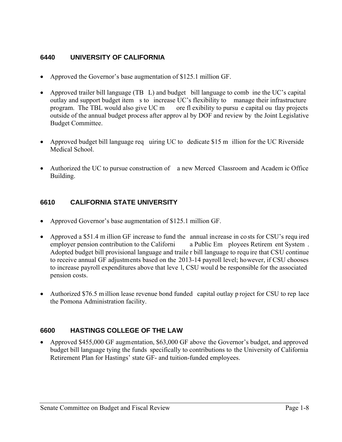### **6440 UNIVERSITY OF CALIFORNIA**

- Approved the Governor's base augmentation of \$125.1 million GF.
- Approved trailer bill language (TB L) and budget bill language to comb ine the UC's capital outlay and support budget item s to increase UC's flexibility to manage their infrastructure program. The TBL would also give UC m ore fl exibility to pursu e capital ou tlay projects outside of the annual budget process after approv al by DOF and review by the Joint Legislative Budget Committee.
- Approved budget bill language req uiring UC to dedicate \$15 m illion for the UC Riverside Medical School.
- Authorized the UC to pursue construction of a new Merced Classroom and Academ ic Office Building.

## **6610 CALIFORNIA STATE UNIVERSITY**

- Approved Governor's base augmentation of \$125.1 million GF.
- Approved a \$51.4 m illion GF increase to fund the annual increase in co sts for CSU's requ ired employer pension contribution to the Californi a Public Em ployees Retirem ent System . Adopted budget bill provisional language and traile r bill language to requ ire that CSU continue to receive annual GF adjustments based on the 2013-14 payroll level; however, if CSU chooses to increase payroll expenditures above that leve l, CSU woul d be responsible for the associated pension costs.
- Authorized \$76.5 m illion lease revenue bond funded capital outlay p roject for CSU to rep lace the Pomona Administration facility.

## **6600 HASTINGS COLLEGE OF THE LAW**

 Approved \$455,000 GF augmentation, \$63,000 GF above the Governor's budget, and approved budget bill language tying the funds specifically to contributions to the University of California Retirement Plan for Hastings' state GF- and tuition-funded employees.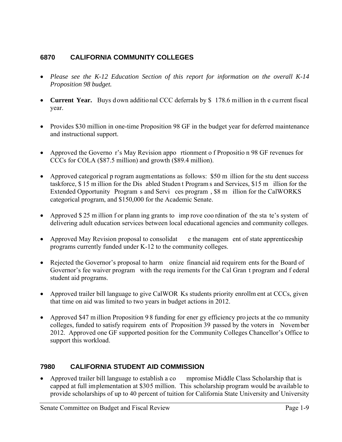### **6870 CALIFORNIA COMMUNITY COLLEGES**

- *Please see the K-12 Education Section of this report for information on the overall K-14 Proposition 98 budget.*
- **Current Year.** Buys down additional CCC deferrals by \$178.6 million in the current fiscal year.
- Provides \$30 million in one-time Proposition 98 GF in the budget year for deferred maintenance and instructional support.
- Approved the Governo r's May Revision appo rtionment o f Propositio n 98 GF revenues for CCCs for COLA (\$87.5 million) and growth (\$89.4 million).
- Approved categorical p rogram augmentations as follows: \$50 m illion for the stu dent success taskforce, \$ 15 m illion for the Dis abled Studen t Program s and Services, \$15 m illion for the Extended Opportunity Program s and Servi ces program , \$8 m illion for the CalWORKS categorical program, and \$150,000 for the Academic Senate.
- Approved \$25 m illion f or plann ing grants to imp rove coo rdination of the state's system of delivering adult education services between local educational agencies and community colleges.
- Approved May Revision proposal to consolidat e the managem ent of state apprenticeship programs currently funded under K-12 to the community colleges.
- Rejected the Governor's proposal to harm onize financial aid requirem ents for the Board of Governor's fee waiver program with the requ irements for the Cal Gran t program and f ederal student aid programs.
- Approved trailer bill language to give CalWOR Ks students priority enrollm ent at CCCs, given that time on aid was limited to two years in budget actions in 2012.
- Approved \$47 m illion Proposition 98 funding for ener gy efficiency pro jects at the community colleges, funded to satisfy requirem ents of Proposition 39 passed by the voters in November 2012. Approved one GF supported position for the Community Colleges Chancellor's Office to support this workload.

## **7980 CALIFORNIA STUDENT AID COMMISSION**

• Approved trailer bill language to establish a co mpromise Middle Class Scholarship that is capped at full implementation at \$305 million. This scholarship program would be available to provide scholarships of up to 40 percent of tuition for California State University and University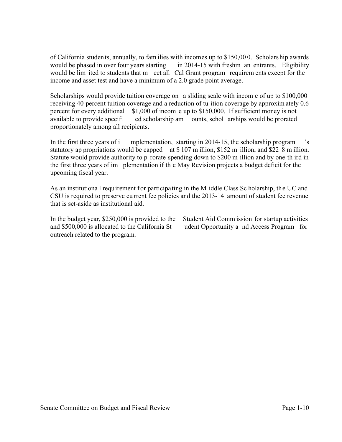of California students, annually, to fam ilies with incomes up to \$150,00 0. Scholarship awards would be phased in over four years starting in 2014-15 with freshm an entrants. Eligibility would be lim ited to students that m eet all Cal Grant program requirem ents except for the income and asset test and have a minimum of a 2.0 grade point average.

Scholarships would provide tuition coverage on a sliding scale with incom e of up to \$100,000 receiving 40 percent tuition coverage and a reduction of tu ition coverage by approxim ately 0.6 percent for every additional \$1,000 of incom e up to \$150,000. If sufficient money is not available to provide specifi ed scholarship am ounts, schol arships would be prorated proportionately among all recipients.

In the first three years of i mplementation, starting in 2014-15, the scholarship program 's statutory ap propriations would be capped at \$107 m illion, \$152 m illion, and \$22 8 m illion. Statute would provide authority to p rorate spending down to \$200 m illion and by one-th ird in the first three years of im plementation if th e May Revision projects a budget deficit for the upcoming fiscal year.

As an institutiona l requirement for participating in the M iddle Class Sc holarship, the UC and CSU is required to preserve cu rrent fee policies and the 2013-14 amount of student fee revenue that is set-aside as institutional aid.

In the budget year, \$250,000 is provided to the Student Aid Comm ission for startup activities and \$500,000 is allocated to the California St udent Opportunity a nd Access Program for outreach related to the program.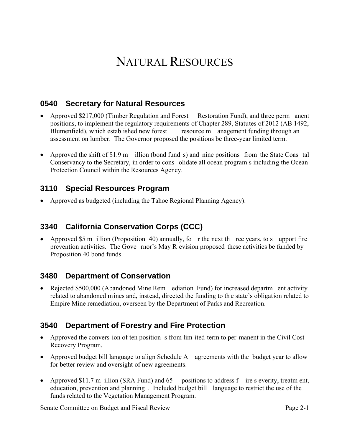# NATURAL RESOURCES

## **0540 Secretary for Natural Resources**

- Approved \$217,000 (Timber Regulation and Forest Restoration Fund), and three perm anent positions, to implement the regulatory requirements of Chapter 289, Statutes of 2012 (AB 1492, Blumenfield), which established new forest resource m anagement funding through an assessment on lumber. The Governor proposed the positions be three-year limited term.
- Approved the shift of \$1.9 m illion (bond fund s) and nine positions from the State Coas tal Conservancy to the Secretary, in order to cons olidate all ocean program s including the Ocean Protection Council within the Resources Agency.

## **3110 Special Resources Program**

Approved as budgeted (including the Tahoe Regional Planning Agency).

# **3340 California Conservation Corps (CCC)**

• Approved \$5 m illion (Proposition 40) annually, fo r the next the ree years, to support fire prevention activities. The Gove rnor's May R evision proposed these activities be funded by Proposition 40 bond funds.

## **3480 Department of Conservation**

 Rejected \$500,000 (Abandoned Mine Rem ediation Fund) for increased departm ent activity related to abandoned mines and, instead, directed the funding to th e state's obligation related to Empire Mine remediation, overseen by the Department of Parks and Recreation.

## **3540 Department of Forestry and Fire Protection**

- Approved the convers ion of ten position s from lim ited-term to per manent in the Civil Cost Recovery Program.
- Approved budget bill language to align Schedule A agreements with the budget year to allow for better review and oversight of new agreements.
- Approved \$11.7 m illion (SRA Fund) and 65 positions to address f ire s everity, treatm ent, education, prevention and planning . Included budget bill language to restrict the use of the funds related to the Vegetation Management Program.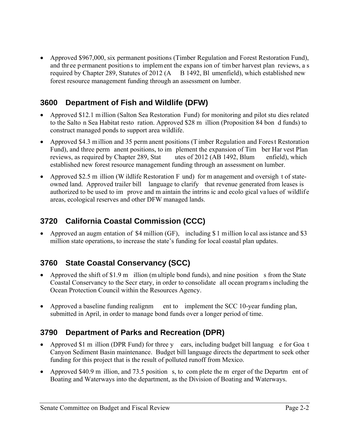• Approved \$967,000, six permanent positions (Timber Regulation and Forest Restoration Fund), and three permanent positions to implement the expans ion of timber harvest plan reviews, a s required by Chapter 289, Statutes of 2012 (A B 1492, Bl umenfield), which established new forest resource management funding through an assessment on lumber.

# **3600 Department of Fish and Wildlife (DFW)**

- Approved \$12.1 million (Salton Sea Restoration Fund) for monitoring and pilot stu dies related to the Salto n Sea Habitat resto ration. Approved \$28 m illion (Proposition 84 bon d funds) to construct managed ponds to support area wildlife.
- Approved \$4.3 m illion and 35 perm anent positions (T imber Regulation and Forest Restoration Fund), and three perm anent positions, to im plement the expansion of Tim ber Har vest Plan reviews, as required by Chapter 289, Stat utes of 2012 (AB 1492, Blum enfield), which established new forest resource management funding through an assessment on lumber.
- Approved \$2.5 m illion (W ildlife Restoration F und) for m anagement and oversigh t of stateowned land. Approved trailer bill language to clarify that revenue generated from leases is authorized to be used to im prove and m aintain the intrins ic and ecolo gical values of wildlife areas, ecological reserves and other DFW managed lands.

# **3720 California Coastal Commission (CCC)**

• Approved an augm entation of \$4 million (GF), including \$1 million lo cal ass istance and \$3 million state operations, to increase the state's funding for local coastal plan updates.

# **3760 State Coastal Conservancy (SCC)**

- Approved the shift of \$1.9 m illion (multiple bond funds), and nine position s from the State Coastal Conservancy to the Secr etary, in order to consolidate all ocean programs including the Ocean Protection Council within the Resources Agency.
- Approved a baseline funding realignm ent to implement the SCC 10-year funding plan, submitted in April, in order to manage bond funds over a longer period of time.

# **3790 Department of Parks and Recreation (DPR)**

- Approved \$1 m illion (DPR Fund) for three y ears, including budget bill languag e for Goa t Canyon Sediment Basin maintenance. Budget bill language directs the department to seek other funding for this project that is the result of polluted runoff from Mexico.
- Approved \$40.9 m illion, and 73.5 position s, to complete the m erger of the Departm ent of Boating and Waterways into the department, as the Division of Boating and Waterways.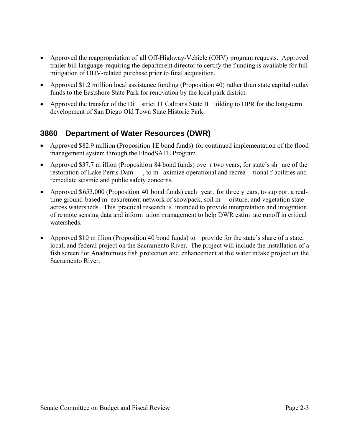- Approved the reappropriation of all Off-Highway-Vehicle (OHV) program requests. Approved trailer bill language requiring the department director to certify the f unding is available for full mitigation of OHV-related purchase prior to final acquisition.
- Approved \$1.2 million local assistance funding (Proposition 40) rather than state capital outlay funds to the Eastshore State Park for renovation by the local park district.
- Approved the transfer of the Di strict 11 Caltrans State B uilding to DPR for the long-term development of San Diego Old Town State Historic Park.

# **3860 Department of Water Resources (DWR)**

- Approved \$82.9 million (Proposition 1E bond funds) for continued implementation of the flood management system through the FloodSAFE Program.
- Approved \$37.7 m illion (Proposition 84 bond funds) ove r two years, for state's sh are of the restoration of Lake Perris Dam , to m aximize operational and recrea tional f acilities and remediate seismic and public safety concerns.
- Approved \$653,000 (Proposition 40 bond funds) each year, for three y ears, to sup port a realtime ground-based m easurement network of snowpack, soil m oisture, and vegetation state across watersheds. This practical research is intended to provide interpretation and integration of re mote sensing data and inform ation management to help DWR estim ate runoff in critical watersheds.
- Approved \$10 m illion (Proposition 40 bond funds) to provide for the state's share of a state, local, and federal project on the Sacramento River. The project will include the installation of a fish screen for Anadromous fish protection and enhancement at the water intake project on the Sacramento River.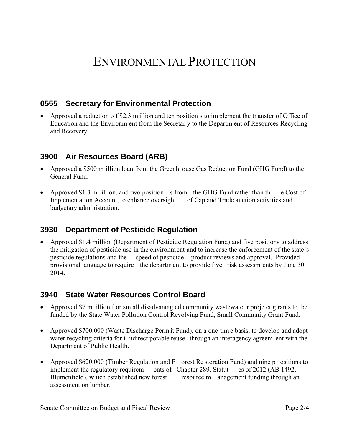# ENVIRONMENTAL PROTECTION

## **0555 Secretary for Environmental Protection**

 Approved a reduction o f \$2.3 m illion and ten position s to im plement the tr ansfer of Office of Education and the Environm ent from the Secretar y to the Departm ent of Resources Recycling and Recovery.

## **3900 Air Resources Board (ARB)**

- Approved a \$500 m illion loan from the Greenh ouse Gas Reduction Fund (GHG Fund) to the General Fund.
- Approved \$1.3 m illion, and two position s from the GHG Fund rather than the Cost of Implementation Account, to enhance oversight of Cap and Trade auction activities and budgetary administration.

## **3930 Department of Pesticide Regulation**

 Approved \$1.4 million (Department of Pesticide Regulation Fund) and five positions to address the mitigation of pesticide use in the environment and to increase the enforcement of the state's pesticide regulations and the speed of pesticide product reviews and approval. Provided provisional language to require the departm ent to provide five risk assessm ents by June 30, 2014.

## **3940 State Water Resources Control Board**

- Approved \$7 m illion f or sm all disadvantag ed community wastewate r proje ct g rants to be funded by the State Water Pollution Control Revolving Fund, Small Community Grant Fund.
- Approved \$700,000 (Waste Discharge Perm it Fund), on a one-time basis, to develop and adopt water recycling criteria for i ndirect potable reuse through an interagency agreem ent with the Department of Public Health.
- Approved \$620,000 (Timber Regulation and F orest Re storation Fund) and nine p ositions to implement the regulatory requirem ents of Chapter 289, Statut es of 2012 (AB 1492, Blumenfield), which established new forest resource m anagement funding through an assessment on lumber.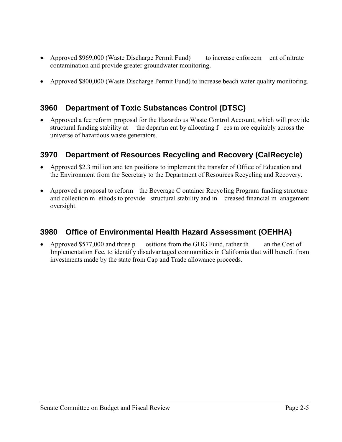- Approved \$969,000 (Waste Discharge Permit Fund) to increase enforcem ent of nitrate contamination and provide greater groundwater monitoring.
- Approved \$800,000 (Waste Discharge Permit Fund) to increase beach water quality monitoring.

# **3960 Department of Toxic Substances Control (DTSC)**

 Approved a fee reform proposal for the Hazardo us Waste Control Account, which will prov ide structural funding stability at the departm ent by allocating f ees m ore equitably across the universe of hazardous waste generators.

# **3970 Department of Resources Recycling and Recovery (CalRecycle)**

- Approved \$2.3 million and ten positions to implement the transfer of Office of Education and the Environment from the Secretary to the Department of Resources Recycling and Recovery.
- Approved a proposal to reform the Beverage C ontainer Recyc ling Program funding structure and collection m ethods to provide structural stability and in creased financial m anagement oversight.

# **3980 Office of Environmental Health Hazard Assessment (OEHHA)**

• Approved \$577,000 and three p ositions from the GHG Fund, rather th an the Cost of Implementation Fee, to identify disadvantaged communities in California that will benefit from investments made by the state from Cap and Trade allowance proceeds.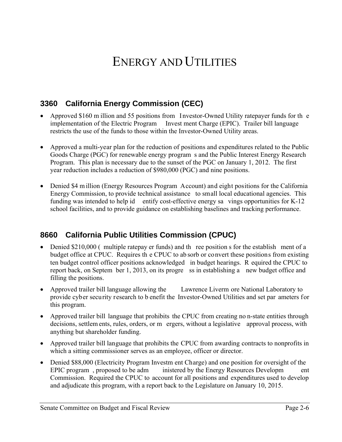# ENERGY AND UTILITIES

# **3360 California Energy Commission (CEC)**

- Approved \$160 m illion and 55 positions from Investor-Owned Utility ratepayer funds for the implementation of the Electric Program Invest ment Charge (EPIC). Trailer bill language restricts the use of the funds to those within the Investor-Owned Utility areas.
- Approved a multi-year plan for the reduction of positions and expenditures related to the Public Goods Charge (PGC) for renewable energy program s and the Public Interest Energy Research Program. This plan is necessary due to the sunset of the PGC on January 1, 2012. The first year reduction includes a reduction of \$980,000 (PGC) and nine positions.
- Denied \$4 m illion (Energy Resources Program Account) and eight positions for the California Energy Commission, to provide technical assistance to small local educational agencies. This funding was intended to help id entify cost-effective energy sa vings opportunities for K-12 school facilities, and to provide guidance on establishing baselines and tracking performance.

# **8660 California Public Utilities Commission (CPUC)**

- Denied \$210,000 ( multiple ratepay er funds) and the ree position s for the establishement of a budget office at CPUC. Requires th e CPUC to ab sorb or convert these positions from existing ten budget control officer positions acknowledged in budget hearings. R equired the CPUC to report back, on Septem ber 1, 2013, on its progre ss in establishing a new budget office and filling the positions.
- Approved trailer bill language allowing the Lawrence Liverm ore National Laboratory to provide cyber security research to b enefit the Investor-Owned Utilities and set par ameters for this program.
- Approved trailer bill language that prohibits the CPUC from creating no n-state entities through decisions, settlem ents, rules, orders, or m ergers, without a legislative approval process, with anything but shareholder funding.
- Approved trailer bill language that prohibits the CPUC from awarding contracts to nonprofits in which a sitting commissioner serves as an employee, officer or director.
- Denied \$88,000 (Electricity Program Investm ent Charge) and one position for oversight of the EPIC program, proposed to be adm inistered by the Energy Resources Developm ent Commission. Required the CPUC to account for all positions and expenditures used to develop and adjudicate this program, with a report back to the Legislature on January 10, 2015.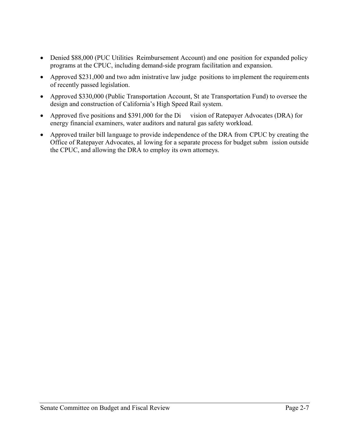- Denied \$88,000 (PUC Utilities Reimbursement Account) and one position for expanded policy programs at the CPUC, including demand-side program facilitation and expansion.
- Approved \$231,000 and two adm inistrative law judge positions to implement the requirements of recently passed legislation.
- Approved \$330,000 (Public Transportation Account, St ate Transportation Fund) to oversee the design and construction of California's High Speed Rail system.
- Approved five positions and \$391,000 for the Di vision of Ratepayer Advocates (DRA) for energy financial examiners, water auditors and natural gas safety workload.
- Approved trailer bill language to provide independence of the DRA from CPUC by creating the Office of Ratepayer Advocates, al lowing for a separate process for budget subm ission outside the CPUC, and allowing the DRA to employ its own attorneys.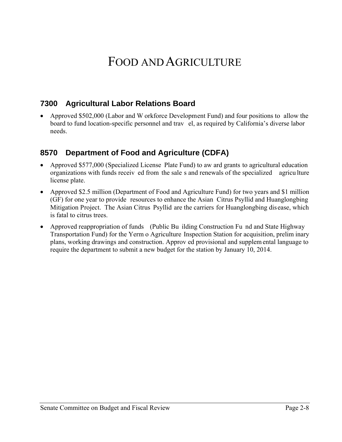# FOOD AND AGRICULTURE

## **7300 Agricultural Labor Relations Board**

 Approved \$502,000 (Labor and W orkforce Development Fund) and four positions to allow the board to fund location-specific personnel and trav el, as required by California's diverse labor needs.

## **8570 Department of Food and Agriculture (CDFA)**

- Approved \$577,000 (Specialized License Plate Fund) to aw ard grants to agricultural education organizations with funds receiv ed from the sale s and renewals of the specialized agricu lture license plate.
- Approved \$2.5 million (Department of Food and Agriculture Fund) for two years and \$1 million (GF) for one year to provide resources to enhance the Asian Citrus Psyllid and Huanglongbing Mitigation Project. The Asian Citrus Psyllid are the carriers for Huanglongbing disease, which is fatal to citrus trees.
- Approved reappropriation of funds (Public Bu ilding Construction Fu nd and State Highway Transportation Fund) for the Yerm o Agriculture Inspection Station for acquisition, prelim inary plans, working drawings and construction. Approv ed provisional and supplem ental language to require the department to submit a new budget for the station by January 10, 2014.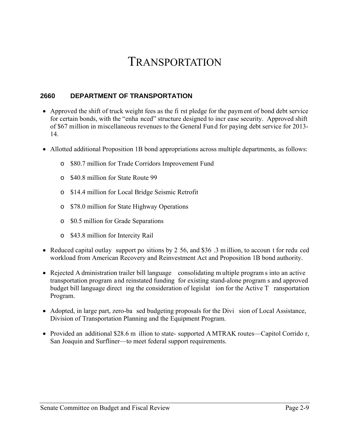# TRANSPORTATION

### **2660 DEPARTMENT OF TRANSPORTATION**

- Approved the shift of truck weight fees as the fi rst pledge for the paym ent of bond debt service for certain bonds, with the "enha nced" structure designed to incr ease security. Approved shift of \$67 million in miscellaneous revenues to the General Fund for paying debt service for 2013- 14.
- Allotted additional Proposition 1B bond appropriations across multiple departments, as follows:
	- o \$80.7 million for Trade Corridors Improvement Fund
	- o \$40.8 million for State Route 99
	- o \$14.4 million for Local Bridge Seismic Retrofit
	- o \$78.0 million for State Highway Operations
	- o \$0.5 million for Grade Separations
	- o \$43.8 million for Intercity Rail
- Reduced capital outlay support po sitions by 2 56, and \$36 .3 m illion, to accoun t for redu ced workload from American Recovery and Reinvestment Act and Proposition 1B bond authority.
- Rejected A dministration trailer bill language consolidating m ultiple program s into an active transportation program and reinstated funding for existing stand-alone program s and approved budget bill language direct ing the consideration of legislat ion for the Active T ransportation Program.
- Adopted, in large part, zero-ba sed budgeting proposals for the Divi sion of Local Assistance, Division of Transportation Planning and the Equipment Program.
- Provided an additional \$28.6 m illion to state- supported A MTRAK routes—Capitol Corrido r, San Joaquin and Surfliner—to meet federal support requirements.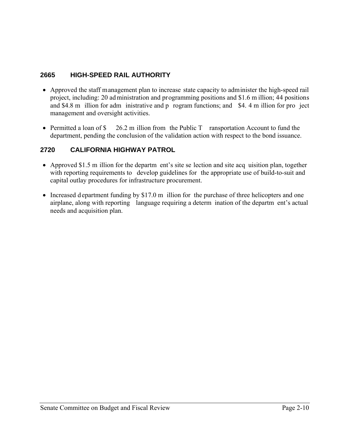### **2665 HIGH-SPEED RAIL AUTHORITY**

- Approved the staff management plan to increase state capacity to administer the high-speed rail project, including: 20 ad ministration and programming positions and \$1.6 m illion; 44 positions and \$4.8 m illion for adm inistrative and p rogram functions; and \$4. 4 m illion for pro ject management and oversight activities.
- Permitted a loan of \$ 26.2 m illion from the Public T ransportation Account to fund the department, pending the conclusion of the validation action with respect to the bond issuance.

## **2720 CALIFORNIA HIGHWAY PATROL**

- Approved \$1.5 m illion for the departm ent's site se lection and site acq uisition plan, together with reporting requirements to develop guidelines for the appropriate use of build-to-suit and capital outlay procedures for infrastructure procurement.
- Increased d epartment funding by \$17.0 m illion for the purchase of three helicopters and one airplane, along with reporting language requiring a determ ination of the departm ent's actual needs and acquisition plan.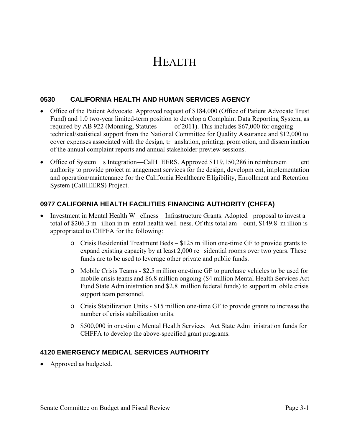# **HEALTH**

#### **0530 CALIFORNIA HEALTH AND HUMAN SERVICES AGENCY**

- Office of the Patient Advocate. Approved request of \$184,000 (Office of Patient Advocate Trust Fund) and 1.0 two-year limited-term position to develop a Complaint Data Reporting System, as required by AB 922 (Monning, Statutes of 2011). This includes \$67,000 for ongoing technical/statistical support from the National Committee for Quality Assurance and \$12,000 to cover expenses associated with the design, tr anslation, printing, prom otion, and dissem ination of the annual complaint reports and annual stakeholder preview sessions.
- Office of System s Integration—CalH EERS. Approved \$119,150,286 in reimbursem ent authority to provide project m anagement services for the design, developm ent, implementation and operation/maintenance for the California Healthcare Eligibility, Enrollment and Retention System (CalHEERS) Project.

#### **0977 CALIFORNIA HEALTH FACILITIES FINANCING AUTHORITY (CHFFA)**

- Investment in Mental Health W ellness—Infrastructure Grants. Adopted proposal to invest a total of \$206.3 m illion in m ental health well ness. Of this total am ount, \$149.8 m illion is appropriated to CHFFA for the following:
	- o Crisis Residential Treatment Beds \$125 m illion one-time GF to provide grants to expand existing capacity by at least 2,000 re sidential rooms over two years. These funds are to be used to leverage other private and public funds.
	- o Mobile Crisis Teams \$2.5 million one-time GF to purchas e vehicles to be used for mobile crisis teams and \$6.8 million ongoing (\$4 million Mental Health Services Act Fund State Adm inistration and \$2.8 million federal funds) to support m obile crisis support team personnel.
	- o Crisis Stabilization Units \$15 million one-time GF to provide grants to increase the number of crisis stabilization units.
	- o \$500,000 in one-tim e Mental Health Services Act State Adm inistration funds for CHFFA to develop the above-specified grant programs.

### **4120 EMERGENCY MEDICAL SERVICES AUTHORITY**

• Approved as budgeted.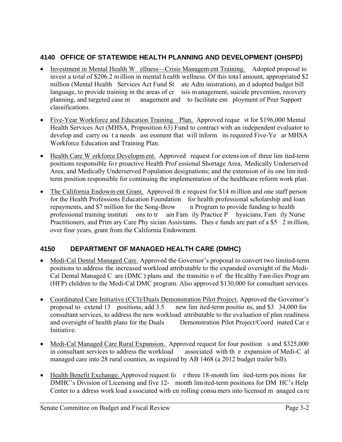## **4140 OFFICE OF STATEWIDE HEALTH PLANNING AND DEVELOPMENT (OHSPD)**

- Investment in Mental Health W ellness—Crisis Managem ent Training.Adopted proposal to invest a total of \$206.2 million in mental health wellness. Of this total amount, appropriated \$2 million (Mental Health Services Act Fund St ate Adm inistration), an d adopted budget bill language, to provide training in the areas of cr isis m anagement, suicide prevention, recovery planning, and targeted case m anagement and to facilitate em ployment of Peer Support classifications.
- Five-Year Workforce and Education Training Plan. Approved reque st for \$196,000 Mental Health Services Act (MHSA, Proposition 63) Fund to contract with an independent evaluator to develop and carry ou t a needs ass essment that will inform its required Five-Ye ar MHSA Workforce Education and Training Plan.
- Health Care W orkforce Developm ent. Approved request for extens ion of three lim ited-term positions responsible fo r proactive Health Prof essional Shortage Area, Medically Underserved Area, and Medically Underserved Population designations; and the extension of its one lim itedterm position responsible for continuing the implementation of the healthcare reform work plan.
- The California Endowm ent Grant. Approved the request for \$14 m illion and one staff person for the Health Professions Education Foundation for health professional scholarship and loan repayments, and \$7 million for the Song-Brow n Program to provide funding to health professional training instituti ons to tr ain Fam ily Practice P hysicians, Fam ily Nurse Practitioners, and Prim ary Care Phy sician Assis tants. Thes e funds are part of a \$5 2 million, over four years, grant from the California Endowment.

## **4150 DEPARTMENT OF MANAGED HEALTH CARE (DMHC)**

- Medi-Cal Dental Managed Care. Approved the Governor's proposal to convert two limited-term positions to address the increased workload attributable to the expanded oversight of the Medi-Cal Dental Managed C are (DMC) plans and the transitio n of the He althy Fam ilies Progr am (HFP) children to the Medi-Cal DMC program. Also approved \$130,000 for consultant services.
- Coordinated Care Initiative (CCI)/Duals Demonstration Pilot Project. Approved the Governor's proposal to extend 13 positions, add 3.5 new lim ited-term positio ns, and \$3 34,000 for consultant services, to address the new workload attributable to the evaluation of plan readiness Demonstration Pilot Project/Coord inated Car e **Initiative**
- Medi-Cal Managed Care Rural Expansion. Approved request for four position s and \$325,000 in consultant services to address the workload associated with th e expansion of Medi-C al managed care into 28 rural counties, as required by AB 1468 (a 2012 budget trailer bill).
- Health Benefit Exchange. Approved request fo r three 18-month lim ited-term positions for DMHC's Division of Licensing and five 12- month lim ited-term positions for DM HC's Help Center to a ddress work load a ssociated with en rolling consu mers into licensed m anaged ca re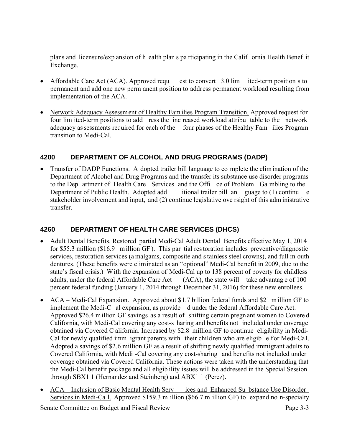plans and licensure/exp ansion of h ealth plan s pa rticipating in the Calif ornia Health Benef it Exchange.

- Affordable Care Act (ACA). Approved requ est to convert 13.0 lim ited-term position s to permanent and add one new perm anent position to address permanent workload resulting from implementation of the ACA.
- Network Adequacy Assessment of Healthy Families Program Transition. Approved request for four lim ited-term positions to add ress the inc reased workload attribu table to the network adequacy as sessments required for each of the four phases of the Healthy Fam ilies Program transition to Medi-Cal.

### **4200 DEPARTMENT OF ALCOHOL AND DRUG PROGRAMS (DADP)**

 Transfer of DADP Functions. A dopted trailer bill language to co mplete the elim ination of the Department of Alcohol and Drug Programs and the transfer its substance use disorder programs to the Dep artment of Health Care Services and the Offi ce of Problem Ga mbling to the Department of Public Health. Adopted add itional trailer bill lan guage to (1) continu e stakeholder involvement and input, and (2) continue legislative ove rsight of this adm inistrative transfer.

## **4260 DEPARTMENT OF HEALTH CARE SERVICES (DHCS)**

- Adult Dental Benefits. Restored partial Medi-Cal Adult Dental Benefits effective May 1, 2014 for \$55.3 million (\$16.9 m illion GF ). This par tial res toration includes preventive/diagnostic services, restoration services (a malgams, composite and s tainless steel crowns), and full m outh dentures. (These benefits were eliminated as an "optional" Medi-Cal benefit in 2009, due to the state's fiscal crisis.) With the expansion of Medi-Cal up to 138 percent of poverty for childless adults, under the federal Affordable Care Act (ACA), the state will take advantag e of 100 percent federal funding (January 1, 2014 through December 31, 2016) for these new enrollees.
- ACA Medi-Cal Expansion. Approved about \$1.7 billion federal funds and \$21 m illion GF to implement the Medi-C al expansion, as provide d under the federal Affordable Care Act. Approved \$26.4 m illion GF savings as a result of shifting certain pregn ant women to Covere d California, with Medi-Cal covering any cost-s haring and benefits not included under coverage obtained via Covered C alifornia. Increased by \$2.8 million GF to continue eligibility in Medi-Cal for newly qualified imm igrant parents with their children who are eligib le for Medi-Cal. Adopted a savings of \$2.6 million GF as a result of shifting newly qualified immigrant adults to Covered California, with Medi -Cal covering any cost-sharing and benefits not included under coverage obtained via Covered California. These actions were taken with the understanding that the Medi-Cal benefit package and all eligib ility issues will be addressed in the Special Session through SBX1 1 (Hernandez and Steinberg) and ABX1 1 (Perez).
- ACA Inclusion of Basic Mental Health Serv ices and Enhanced Su bstance Use Disorder Services in Medi-Ca l. Approved \$159.3 m illion (\$66.7 m illion GF) to expand no n-specialty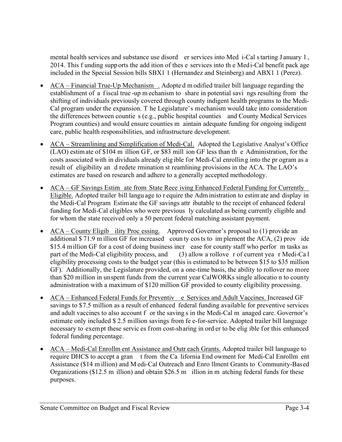mental health services and substance use disord er services into Med i-Cal s tarting J anuary 1 , 2014. This f unding supports the add ition of thes e services into th e Medi-Cal benefit pack age included in the Special Session bills SBX1 1 (Hernandez and Steinberg) and ABX1 1 (Perez).

- ACA Financial True-Up Mechanism . Adopte d modified trailer bill language regarding the establishment of a f iscal true -up m echanism to share in potential savi ngs resulting from the shifting of individuals previously covered through county indigent health programs to the Medi-Cal program under the expansion. T he Legislature's mechanism would take into consideration the differences between countie s (e.g., public hospital counties and County Medical Services Program counties) and would ensure counties m aintain adequate funding for ongoing indigent care, public health responsibilities, and infrastructure development.
- ACA Streamlining and Simplification of Medi-Cal. Adopted the Legislative Analyst's Office (LAO) estimate of \$104 m illion GF, or \$83 mill ion GF less than th e Administration, for the costs associated with in dividuals already elig ible for Medi-Cal enrollin g into the pr ogram as a result of eligibility an d redete rmination st reamlining provisions in the ACA. The LAO's estimates are based on research and adhere to a generally accepted methodology.
- ACA GF Savings Estim ate from State Rece iving Enhanced Federal Funding for Currently Eligible. Adopted trailer bill langu age to r equire the Adm inistration to estim ate and display in the Medi-Cal Program Estimate the GF savings attr ibutable to the receipt of enhanced federal funding for Medi-Cal eligibles who were previous ly calculated as being currently eligible and for whom the state received only a 50 percent federal matching assistant payment.
- ACA County Eligib ility Proc essing.Approved Governor's proposal to (1) provide an additional \$ 71.9 m illion GF for increased coun ty cos ts to im plement the ACA, (2) prov ide \$15.4 million GF for a cost of doing business incr ease for county staff who perfor m tasks as part of the Medi-Cal eligibility process, and (3) allow a rollove r of current yea r Medi-Ca l eligibility processing costs to the budget year (this is estimated to be between \$15 to \$35 million GF). Additionally, the Legislature provided, on a one-time basis, the ability to rollover no more than \$20 million in unspent funds from the current year CalWORKs single allocatio n to county administration with a maximum of \$120 million GF provided to county eligibility processing.
- ACA Enhanced Federal Funds for Preventiv e Services and Adult Vaccines. Increased GF savings to \$7.5 million as a result of enhanced federal funding available for preventive services and adult vaccines to also account f or the saving s in the Medi-Cal m anaged care. Governor's estimate only included \$ 2.5 million savings from fe e-for-service. Adopted trailer bill language necessary to exempt these servic es from cost-sharing in ord er to be elig ible for this enhanced federal funding percentage.
- ACA Medi-Cal Enrollm ent Assistance and Outr each Grants. Adopted trailer bill language to require DHCS to accept a gran t from the Ca lifornia End owment for Medi-Cal Enrollm ent Assistance (\$14 m illion) and M edi-Cal Outreach and Enro llment Grants to Community-Based Organizations (\$12.5 m illion) and obtain \$26.5 m illion in m atching federal funds for these purposes.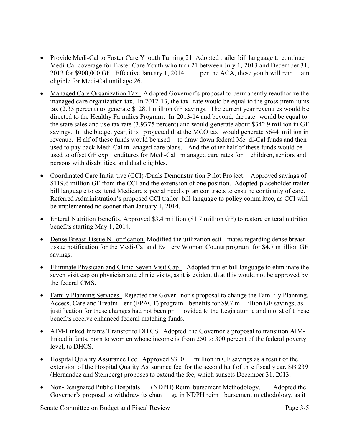- Provide Medi-Cal to Foster Care Y outh Turning 21. Adopted trailer bill language to continue Medi-Cal coverage for Foster Care Youth who turn 21 between July 1, 2013 and December 31, 2013 for \$900,000 GF. Effective January 1, 2014, per the ACA, these youth will rem ain eligible for Medi-Cal until age 26.
- Managed Care Organization Tax. A dopted Governor's proposal to permanently reauthorize the managed care organization tax. In 2012-13, the tax rate would be equal to the gross prem iums tax (2.35 percent) to generate \$128.1 million GF savings. The current year revenu es would be directed to the Healthy Fa milies Program. In 2013-14 and beyond, the rate would be equal to the state sales and use tax rate (3.9375 percent) and would generate about \$342.9 million in GF savings. In the budget year, it is projected that the MCO tax would generate \$644 million in revenue. H alf of these funds would be used to draw down federal Me di-Cal funds and then used to pay back Medi-Cal m anaged care plans. And the other half of these funds would be used to offset GF exp enditures for Medi-Cal m anaged care rates for children, seniors and persons with disabilities, and dual eligibles.
- Coordinated Care Initia tive (CCI) /Duals Demonstra tion P ilot Pro ject.Approved savings of \$119.6 million GF from the CCI and the extens ion of one position. Adopted placeholder trailer bill languag e to ex tend Medicare s pecial need s pl an con tracts to ensu re continuity of care. Referred Administration's proposed CCI trailer bill language to policy comm ittee, as CCI will be implemented no sooner than January 1, 2014.
- Enteral Nutrition Benefits. Approved \$3.4 m illion (\$1.7 million GF) to restore en teral nutrition benefits starting May 1, 2014.
- Dense Breast Tissue N otification. Modified the utilization esti mates regarding dense breast tissue notification for the Medi-Cal and Ev ery W oman Counts program for \$4.7 m illion GF savings.
- Eliminate Physician and Clinic Seven Visit Cap. Adopted trailer bill language to elim inate the seven visit cap on physician and clin ic visits, as it is evident th at this would not be approved by the federal CMS.
- Family Planning Services. Rejected the Gover nor's proposal to change the Fam ily Planning, Access, Care and Treatm ent (FPACT) program benefits for \$9.7 m illion GF savings, as justification for these changes had not been pr ovided to the Legislatur e and mo st of t hese benefits receive enhanced federal matching funds.
- AIM-Linked Infants T ransfer to DH CS. Adopted the Governor's proposal to transition AIMlinked infants, born to wom en whose income is from 250 to 300 percent of the federal poverty level, to DHCS.
- Hospital Qu ality Assurance Fee. Approved \$310 million in GF savings as a result of the extension of the Hospital Quality As surance fee for the second half of th e fiscal y ear. SB 239 (Hernandez and Steinberg) proposes to extend the fee, which sunsets December 31, 2013.
- Non-Designated Public Hospitals (NDPH) Reim bursement Methodology. Adopted the Governor's proposal to withdraw its chan ge in NDPH reim bursement m ethodology, as it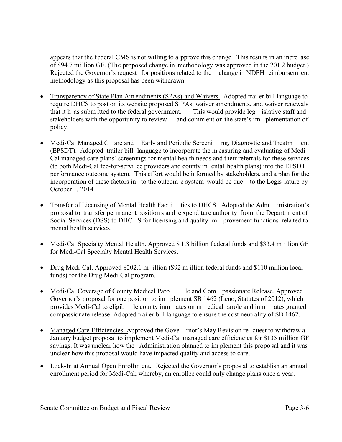appears that the federal CMS is not willing to a pprove this change. This results in an incre ase of \$94.7 million GF. (The proposed change in methodology was approved in the 201 2 budget.) Rejected the Governor's request for positions related to the change in NDPH reimbursem ent methodology as this proposal has been withdrawn.

- Transparency of State Plan Am endments (SPAs) and Waivers. Adopted trailer bill language to require DHCS to post on its website proposed S PAs, waiver amendments, and waiver renewals that it h as subm itted to the federal government. This would provide leg islative staff and stakeholders with the opportunity to review and comm ent on the state's im plementation of policy.
- Medi-Cal Managed C are and Early and Periodic Screeni ng, Diagnostic and Treatm ent (EPSDT). Adopted trailer bill language to incorporate the m easuring and evaluating of Medi-Cal managed care plans' screenings for mental health needs and their referrals for these services (to both Medi-Cal fee-for-servi ce providers and county m ental health plans) into the EPSDT performance outcome system. This effort would be informed by stakeholders, and a plan for the incorporation of these factors in to the outcom e system would be due to the Legis lature by October 1, 2014
- Transfer of Licensing of Mental Health Facili ties to DHCS. Adopted the Adm inistration's proposal to tran sfer perm anent position s and e xpenditure authority from the Departm ent of Social Services (DSS) to DHC S for licensing and quality im provement functions related to mental health services.
- Medi-Cal Specialty Mental He alth. Approved \$1.8 billion f ederal funds and \$33.4 m illion GF for Medi-Cal Specialty Mental Health Services.
- Drug Medi-Cal. Approved \$202.1 m illion (\$92 m illion federal funds and \$110 million local funds) for the Drug Medi-Cal program.
- Medi-Cal Coverage of County Medical Paro le and Com passionate Release. Approved Governor's proposal for one position to im plement SB 1462 (Leno, Statutes of 2012), which provides Medi-Cal to eligib le county inm ates on m edical parole and inm ates granted compassionate release. Adopted trailer bill language to ensure the cost neutrality of SB 1462.
- Managed Care Efficiencies. Approved the Gove rnor's May Revision re quest to withdraw a January budget proposal to implement Medi-Cal managed care efficiencies for \$135 million GF savings. It was unclear how the Administration planned to im plement this propo sal and it was unclear how this proposal would have impacted quality and access to care.
- Lock-In at Annual Open Enrollm ent.Rejected the Governor's propos al to establish an annual enrollment period for Medi-Cal; whereby, an enrollee could only change plans once a year.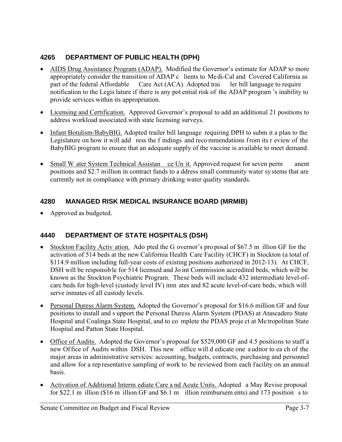## **4265 DEPARTMENT OF PUBLIC HEALTH (DPH)**

- AIDS Drug Assistance Program (ADAP). Modified the Governor's estimate for ADAP to more appropriately consider the transition of ADAP c lients to Medi-Cal and Covered California as part of the federal Affordable Care Act (ACA). Adopted trai ler bill language to require notification to the Legis lature if there is any pot ential risk of the ADAP program 's inability to provide services within its appropriation.
- Licensing and Certification. Approved Governor's proposal to add an additional 21 positions to address workload associated with state licensing surveys.
- Infant Botulism/BabyBIG. Adopted trailer bill language requiring DPH to subm it a plan to the Legislature on how it will add ress the f indings and recommendations from its r eview of the BabyBIG program to ensure that an adequate supply of the vaccine is available to meet demand.
- Small W ater System Technical Assistan ce Un it. Approved request for seven perm anent positions and \$2.7 million in contract funds to a ddress small community water sy stems that are currently not in compliance with primary drinking water quality standards.

## **4280 MANAGED RISK MEDICAL INSURANCE BOARD (MRMIB)**

• Approved as budgeted.

## **4440 DEPARTMENT OF STATE HOSPITALS (DSH)**

- Stockton Facility Activ ation. Ado pted the G overnor's pro posal of \$67.5 m illion GF for the activation of 514 beds at the new California Health Care Facility (CHCF) in Stockton (a total of \$114.9 million including full-year costs of existing positions authorized in 2012-13). At CHCF, DSH will be responsible for 514 licensed and Jo int Commission accredited beds, which will be known as the Stockton Psychiatric Program. These beds will include 432 intermediate level-ofcare beds for high-level (custody level IV) inm ates and 82 acute level-of-care beds, which will serve inmates of all custody levels.
- Personal Duress Alarm System. Adopted the Governor's proposal for \$16.6 million GF and four positions to install and s upport the Personal Duress Alarm System (PDAS) at Atascadero State Hospital and Coalinga State Hospital, and to co mplete the PDAS proje ct at Me tropolitan State Hospital and Patton State Hospital.
- Office of Audits. Adopted the Governor's proposal for \$529,000 GF and 4.5 positions to staff a new Of fice of Audits within DSH. This new office will d edicate one a uditor to ea ch of the major areas in administrative services: accounting, budgets, contracts, purchasing and personnel and allow for a rep resentative sampling of work to be reviewed from each facility on an annual basis.
- Activation of Additional Interm ediate Care a nd Acute Units. Adopted a May Revise proposal for \$22.1 m illion (\$16 m illion GF and \$6.1 m illion reimbursem ents) and 173 position s to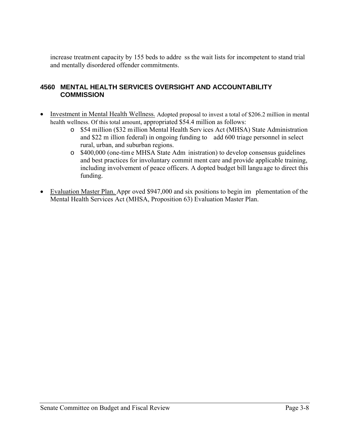increase treatment capacity by 155 beds to addre ss the wait lists for incompetent to stand trial and mentally disordered offender commitments.

### **4560 MENTAL HEALTH SERVICES OVERSIGHT AND ACCOUNTABILITY COMMISSION**

- Investment in Mental Health Wellness. Adopted proposal to invest a total of \$206.2 million in mental health wellness. Of this total amount, appropriated \$54.4 million as follows:
	- o \$54 million (\$32 million Mental Health Serv ices Act (MHSA) State Administration and \$22 m illion federal) in ongoing funding to add 600 triage personnel in select rural, urban, and suburban regions.
	- o \$400,000 (one-tim e MHSA State Adm inistration) to develop consensus guidelines and best practices for involuntary commit ment care and provide applicable training, including involvement of peace officers. A dopted budget bill langu age to direct this funding.
- Evaluation Master Plan. Appr oved \$947,000 and six positions to begin im plementation of the Mental Health Services Act (MHSA, Proposition 63) Evaluation Master Plan.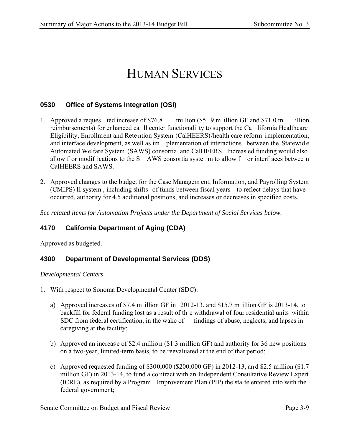# HUMAN SERVICES

#### **0530 Office of Systems Integration (OSI)**

- 1. Approved a reques ted increase of \$76.8 million (\$5 .9 m illion GF and \$71.0 m illion reimbursements) for enhanced ca ll center functionali ty to support the Ca lifornia Healthcare Eligibility, Enrollment and Rete ntion System (CalHEERS)/health care reform implementation, and interface development, as well as im plementation of interactions between the Statewid e Automated Welfare System (SAWS) consortia and CalHEERS. Increas ed funding would also allow f or modif ications to the S AWS consortia syste m to allow f or interf aces betwee n CalHEERS and SAWS.
- 2. Approved changes to the budget for the Case Managem ent, Information, and Payrolling System (CMIPS) II system , including shifts of funds between fiscal years to reflect delays that have occurred, authority for 4.5 additional positions, and increases or decreases in specified costs.

*See related items for Automation Projects under the Department of Social Services below.* 

### **4170 California Department of Aging (CDA)**

Approved as budgeted.

#### **4300 Department of Developmental Services (DDS)**

#### *Developmental Centers*

- 1. With respect to Sonoma Developmental Center (SDC):
	- a) Approved increas es of \$7.4 m illion GF in 2012-13, and \$15.7 m illion GF is 2013-14, to backfill for federal funding lost as a result of th e withdrawal of four residential units within SDC from federal certification, in the wake of findings of abuse, neglects, and lapses in caregiving at the facility;
	- b) Approved an increase of \$2.4 millio n (\$1.3 million GF) and authority for 36 new positions on a two-year, limited-term basis, to be reevaluated at the end of that period;
	- c) Approved requested funding of \$300,000 (\$200,000 GF) in 2012-13, an d \$2.5 million (\$1.7 million GF) in 2013-14, to fund a co ntract with an Independent Consultative Review Expert (ICRE), as required by a Program Improvement Pl an (PIP) the sta te entered into with the federal government;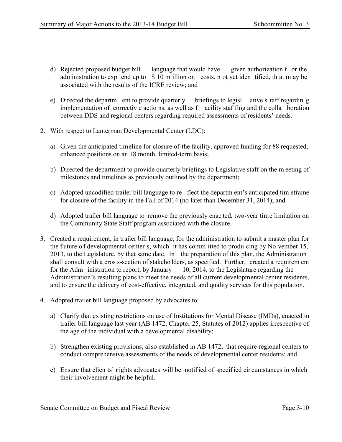- d) Rejected proposed budget bill language that would have given authorization f or the administration to exp end up to \$ 10 m illion on costs, n ot yet iden tified, th at m ay be associated with the results of the ICRE review; and
- e) Directed the departm ent to provide quarterly briefings to legisl ative s taff regardin g implementation of correctiv e actio ns, as well as f acility staf fing and the colla boration between DDS and regional centers regarding required assessments of residents' needs.
- 2. With respect to Lanterman Developmental Center (LDC):
	- a) Given the anticipated timeline for closure of the facility, approved funding for 88 requested, enhanced positions on an 18 month, limited-term basis;
	- b) Directed the department to provide quarterly briefings to Legislative staff on the m eeting of milestones and timelines as previously outlined by the department;
	- c) Adopted uncodified trailer bill language to re flect the departm ent's anticipated tim eframe for closure of the facility in the Fall of 2014 (no later than December 31, 2014); and
	- d) Adopted trailer bill language to remove the previously enac ted, two-year time limitation on the Community State Staff program associated with the closure.
- 3. Created a requirement, in trailer bill language, for the administration to submit a master plan for the f uture o f developmental center s, which it has comm itted to produ cing by No vember 15, 2013, to the Legislature, by that same date. In the preparation of this plan, the Administration shall consult with a cros s-section of stakeho lders, as specified. Further, created a requirem ent for the Adm inistration to report, by January 10, 2014, to the Legislature regarding the Administration's resulting plans to meet the needs of all current developmental center residents, and to ensure the delivery of cost-effective, integrated, and quality services for this population.
- 4. Adopted trailer bill language proposed by advocates to:
	- a) Clarify that existing restrictions on use of Institutions for Mental Disease (IMDs), enacted in trailer bill language last year (AB 1472, Chapter 25, Statutes of 2012) applies irrespective of the age of the individual with a developmental disability;
	- b) Strengthen existing provisions, also established in AB 1472, that require regional centers to conduct comprehensive assessments of the needs of developmental center residents; and
	- c) Ensure that clien ts' r ights advocates will be notif ied of specif ied cir cumstances in which their involvement might be helpful.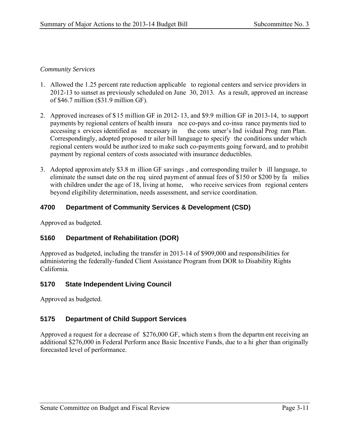#### *Community Services*

- 1. Allowed the 1.25 percent rate reduction applicable to regional centers and service providers in 2012-13 to sunset as previously scheduled on June 30, 2013. As a result, approved an increase of \$46.7 million (\$31.9 million GF).
- 2. Approved increases of \$15 million GF in 2012- 13, and \$9.9 million GF in 2013-14, to support payments by regional centers of health insura nce co-pays and co-insu rance payments tied to accessing s ervices identified as necessary in the cons umer's Ind ividual Prog ram Plan. Correspondingly, adopted proposed tr ailer bill language to specify the conditions under which regional centers would be author ized to make such co-payments going forward, and to prohibit payment by regional centers of costs associated with insurance deductibles.
- 3. Adopted approxim ately \$3.8 m illion GF savings , and corresponding trailer b ill language, to eliminate the sunset date on the req uired payment of annual fees of \$150 or \$200 by fa milies with children under the age of 18, living at home, who receive services from regional centers beyond eligibility determination, needs assessment, and service coordination.

#### **4700 Department of Community Services & Development (CSD)**

Approved as budgeted.

#### **5160 Department of Rehabilitation (DOR)**

Approved as budgeted, including the transfer in 2013-14 of \$909,000 and responsibilities for administering the federally-funded Client Assistance Program from DOR to Disability Rights California.

#### **5170 State Independent Living Council**

Approved as budgeted.

### **5175 Department of Child Support Services**

Approved a request for a decrease of \$276,000 GF, which stem s from the departm ent receiving an additional \$276,000 in Federal Perform ance Basic Incentive Funds, due to a hi gher than originally forecasted level of performance.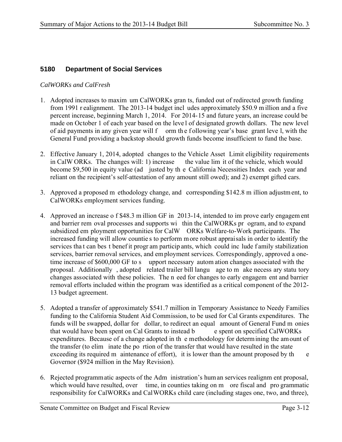#### **5180 Department of Social Services**

#### *CalWORKs and CalFresh*

- 1. Adopted increases to maxim um CalWORKs gran ts, funded out of redirected growth funding from 1991 r ealignment. The 2013-14 budget incl udes approximately \$50.9 m illion and a five percent increase, beginning March 1, 2014. For 2014-15 and future years, an increase could be made on October 1 of each year based on the leve l of designated growth dollars. The new level of aid payments in any given year will f orm the following year's base grant leve l, with the General Fund providing a backstop should growth funds become insufficient to fund the base.
- 2. Effective January 1, 2014, adopted changes to the Vehicle Asset Limit eligibility requirements in CalW ORKs. The changes will: 1) increase the value lim it of the vehicle, which would become \$9,500 in equity value (ad justed by th e California Necessities Index each year and reliant on the recipient's self-attestation of any amount still owed); and 2) exempt gifted cars.
- 3. Approved a proposed m ethodology change, and corresponding \$142.8 m illion adjustm ent, to CalWORKs employment services funding.
- 4. Approved an increase o f \$48.3 m illion GF in 2013-14, intended to im prove early engagem ent and barrier rem oval processes and supports wi thin the CalWORKs pr ogram, and to expand subsidized em ployment opportunities for CalW ORKs Welfare-to-Work participants. The increased funding will allow countie s to perform m ore robust appraisals in order to identify the services tha t can bes t benef it progr am particip ants, which could inc lude f amily stabilization services, barrier removal services, and em ployment services. Correspondingly, approved a onetime increase of \$600,000 GF to s upport necessary autom ation changes associated with the proposal. Additionally , adopted related trailer bill langu age to m ake necess ary statu tory changes associated with these policies. The n eed for changes to early engagem ent and barrier removal efforts included within the program was identified as a critical component of the 2012- 13 budget agreement.
- 5. Adopted a transfer of approximately \$541.7 million in Temporary Assistance to Needy Families funding to the California Student Aid Commission, to be used for Cal Grants expenditures. The funds will be swapped, dollar for dollar, to redirect an equal amount of General Fund m onies<br>that would have been spent on Cal Grants to instead b e spent on specified CalWORKs that would have been spent on Cal Grants to instead b expenditures. Because of a change adopted in th e methodology for determining the amount of the transfer (to elim inate the po rtion of the transfer that would have resulted in the state exceeding its required m aintenance of effort), it is lower than the amount proposed by the Governor (\$924 million in the May Revision).
- 6. Rejected programmatic aspects of the Adm inistration's human services realignm ent proposal, which would have resulted, over time, in counties taking on m ore fiscal and pro grammatic responsibility for CalWORKs and CalWORKs child care (including stages one, two, and three),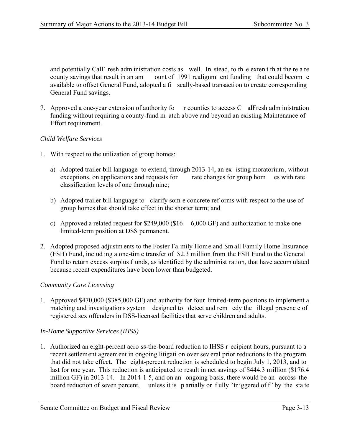and potentially CalF resh adm inistration costs as well. In stead, to th e exten t th at the re a re county savings that result in an am ount of 1991 realignm ent funding that could becom e available to offset General Fund, adopted a fi scally-based transaction to create corresponding General Fund savings.

7. Approved a one-year extension of authority fo r counties to access C alFresh adm inistration funding without requiring a county-fund m atch above and beyond an existing Maintenance of Effort requirement.

#### *Child Welfare Services*

- 1. With respect to the utilization of group homes:
	- a) Adopted trailer bill language to extend, through 2013-14, an ex isting moratorium, without exceptions, on applications and requests for rate changes for group hom es with rate classification levels of one through nine;
	- b) Adopted trailer bill language to clarify som e concrete ref orms with respect to the use of group homes that should take effect in the shorter term; and
	- c) Approved a related request for  $$249,000$  (\$16 6,000 GF) and authorization to make one limited-term position at DSS permanent.
- 2. Adopted proposed adjustm ents to the Foster Fa mily Home and Sm all Family Home Insurance (FSH) Fund, includ ing a one-tim e transfer of \$2.3 million from the FSH Fund to the General Fund to return excess surplus f unds, as identified by the administ ration, that have accum ulated because recent expenditures have been lower than budgeted.

#### *Community Care Licensing*

1. Approved \$470,000 (\$385,000 GF) and authority for four limited-term positions to implement a matching and investigations system designed to detect and rem edy the illegal presenc e of registered sex offenders in DSS-licensed facilities that serve children and adults.

#### *In-Home Supportive Services (IHSS)*

1. Authorized an eight-percent acro ss-the-board reduction to IHSS r ecipient hours, pursuant to a recent settlement agreement in ongoing litigati on over sev eral prior reductions to the program that did not take effect. The eight-percent reduction is schedule d to begin July 1, 2013, and to last for one year. This reduction is anticipated to result in net savings of \$444.3 million (\$176.4) million GF) in 2013-14. In 2014-1 5, and on an ongoing basis, there would be an across-theboard reduction of seven percent, unless it is partially or fully "tr iggered of f" by the state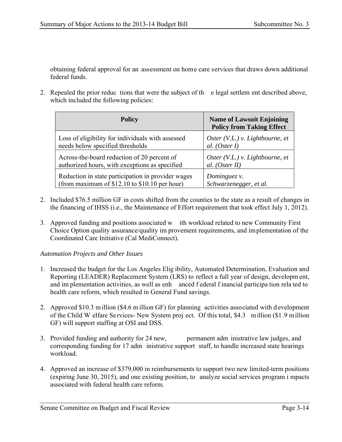obtaining federal approval for an assessment on home care services that draws down additional federal funds.

2. Repealed the prior reduc tions that were the subject of th e legal settlem ent described above, which included the following policies:

| <b>Policy</b>                                      | <b>Name of Lawsuit Enjoining</b><br><b>Policy from Taking Effect</b> |
|----------------------------------------------------|----------------------------------------------------------------------|
| Loss of eligibility for individuals with assessed  | Oster $(V.L.)$ v. Lightbourne, et                                    |
| needs below specified thresholds                   | al. $(Oster I)$                                                      |
| Across-the-board reduction of 20 percent of        | Oster $(V.L.)$ v. Lightbourne, et                                    |
| authorized hours, with exceptions as specified     | al. $(Oster II)$                                                     |
| Reduction in state participation in provider wages | Dominguez v.                                                         |
| (from maximum of $$12.10$ to $$10.10$ per hour)    | Schwarzenegger, et al.                                               |

- 2. Included \$76.5 million GF in costs shifted from the counties to the state as a result of changes in the financing of IHSS (i.e., the Maintenance of Effort requirement that took effect July 1, 2012).
- 3. Approved funding and positions associated w ith workload related to new Community First Choice Option quality assurance/quality im provement requirements, and implementation of the Coordinated Care Initiative (Cal MediConnect).

#### *Automation Projects and Other Issues*

- 1. Increased the budget for the Los Angeles Elig ibility, Automated Determination, Evaluation and Reporting (LEADER) Replacement System (LRS) to reflect a full year of design, developm ent, and im plementation activities, as well as enh anced f ederal f inancial participa tion rela ted to health care reform, which resulted in General Fund savings.
- 2. Approved \$10.3 m illion (\$4.6 m illion GF) for planning activities associated with d evelopment of the Child W elfare Services- New System proj ect. Of this total, \$4.3 million (\$1.9 million GF) will support staffing at OSI and DSS.
- 3. Provided funding and authority for 24 new, permanent adm inistrative law judges, and corresponding funding for 17 adm inistrative support staff, to handle increased state hearings workload.
- 4. Approved an increase of \$379,000 in reimbursements to support two new limited-term positions (expiring June 30, 2015), and one existing position, to analyze social services program i mpacts associated with federal health care reform.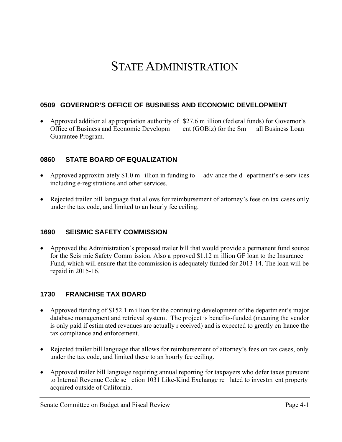# STATE ADMINISTRATION

### **0509 GOVERNOR'S OFFICE OF BUSINESS AND ECONOMIC DEVELOPMENT**

 Approved addition al ap propriation authority of \$27.6 m illion (fed eral funds) for Governor's Office of Business and Economic Developm ent (GOBiz) for the Sm all Business Loan Guarantee Program.

### **0860 STATE BOARD OF EQUALIZATION**

- Approved approxim ately \$1.0 m illion in funding to adv ance the d epartment's e-serv ices including e-registrations and other services.
- Rejected trailer bill language that allows for reimbursement of attorney's fees on tax cases only under the tax code, and limited to an hourly fee ceiling.

### **1690 SEISMIC SAFETY COMMISSION**

 Approved the Administration's proposed trailer bill that would provide a permanent fund source for the Seis mic Safety Comm ission. Also a pproved \$1.12 m illion GF loan to the Insurance Fund, which will ensure that the commission is adequately funded for 2013-14. The loan will be repaid in 2015-16.

### **1730 FRANCHISE TAX BOARD**

- Approved funding of \$152.1 m illion for the continui ng development of the departm ent's major database management and retrieval system. The project is benefits-funded (meaning the vendor is only paid if estim ated revenues are actually r eceived) and is expected to greatly en hance the tax compliance and enforcement.
- Rejected trailer bill language that allows for reimbursement of attorney's fees on tax cases, only under the tax code, and limited these to an hourly fee ceiling.
- Approved trailer bill language requiring annual reporting for taxpayers who defer taxes pursuant to Internal Revenue Code se ction 1031 Like-Kind Exchange re lated to investm ent property acquired outside of California.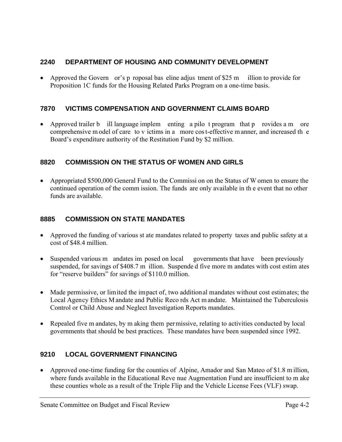## **2240 DEPARTMENT OF HOUSING AND COMMUNITY DEVELOPMENT**

 Approved the Govern or's p roposal bas eline adjus tment of \$25 m illion to provide for Proposition 1C funds for the Housing Related Parks Program on a one-time basis.

### **7870 VICTIMS COMPENSATION AND GOVERNMENT CLAIMS BOARD**

 Approved trailer b ill language implem enting a pilo t program that p rovides a m ore comprehensive m odel of care to v ictims in a more cos t-effective m anner, and increased th e Board's expenditure authority of the Restitution Fund by \$2 million.

## **8820 COMMISSION ON THE STATUS OF WOMEN AND GIRLS**

 Appropriated \$500,000 General Fund to the Commissi on on the Status of W omen to ensure the continued operation of the comm ission. The funds are only available in th e event that no other funds are available.

### **8885 COMMISSION ON STATE MANDATES**

- Approved the funding of various st ate mandates related to property taxes and public safety at a cost of \$48.4 million.
- Suspended various m andates imposed on local governments that have been previously suspended, for savings of \$408.7 m illion. Suspende d five more m andates with cost estim ates for "reserve builders" for savings of \$110.0 million.
- Made permissive, or limited the impact of, two additional mandates without cost estimates; the Local Agency Ethics M andate and Public Reco rds Act m andate.Maintained the Tuberculosis Control or Child Abuse and Neglect Investigation Reports mandates.
- Repealed five m andates, by m aking them permissive, relating to activities conducted by local governments that should be best practices. These mandates have been suspended since 1992.

## **9210 LOCAL GOVERNMENT FINANCING**

 Approved one-time funding for the counties of Alpine, Amador and San Mateo of \$1.8 m illion, where funds available in the Educational Reve nue Augmentation Fund are insufficient to m ake these counties whole as a result of the Triple Flip and the Vehicle License Fees (VLF) swap.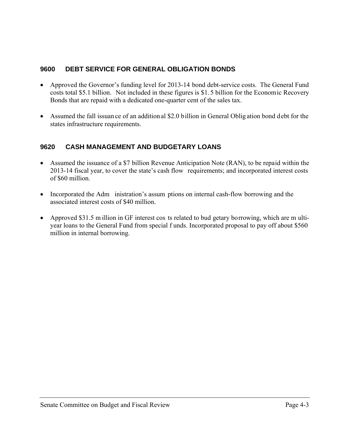### **9600 DEBT SERVICE FOR GENERAL OBLIGATION BONDS**

- Approved the Governor's funding level for 2013-14 bond debt-service costs. The General Fund costs total \$5.1 billion. Not included in these figures is \$1. 5 billion for the Economic Recovery Bonds that are repaid with a dedicated one-quarter cent of the sales tax.
- Assumed the fall issuan ce of an addition al \$2.0 billion in General Oblig ation bond debt for the states infrastructure requirements.

## **9620 CASH MANAGEMENT AND BUDGETARY LOANS**

- Assumed the issuance of a \$7 billion Revenue Anticipation Note (RAN), to be repaid within the 2013-14 fiscal year, to cover the state's cash flow requirements; and incorporated interest costs of \$60 million.
- Incorporated the Adm inistration's assumptions on internal cash-flow borrowing and the associated interest costs of \$40 million.
- Approved \$31.5 m illion in GF interest cos ts related to bud getary borrowing, which are m ultiyear loans to the General Fund from special f unds. Incorporated proposal to pay off about \$560 million in internal borrowing.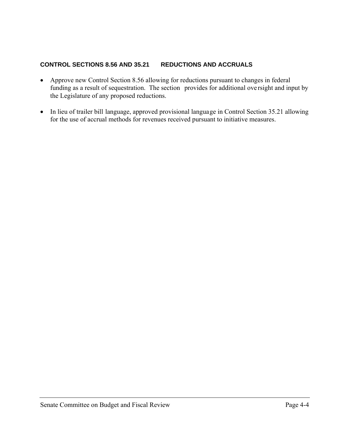#### **CONTROL SECTIONS 8.56 AND 35.21 REDUCTIONS AND ACCRUALS**

- Approve new Control Section 8.56 allowing for reductions pursuant to changes in federal funding as a result of sequestration. The section provides for additional ove rsight and input by the Legislature of any proposed reductions.
- In lieu of trailer bill language, approved provisional language in Control Section 35.21 allowing for the use of accrual methods for revenues received pursuant to initiative measures.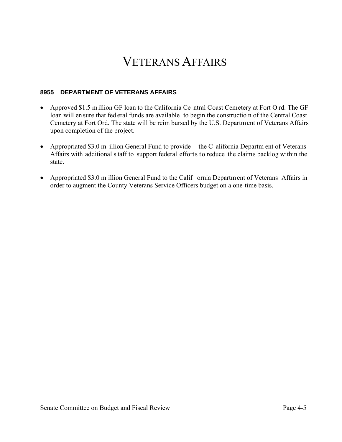# VETERANS AFFAIRS

#### **8955 DEPARTMENT OF VETERANS AFFAIRS**

- Approved \$1.5 m illion GF loan to the California Ce ntral Coast Cemetery at Fort O rd. The GF loan will en sure that fed eral funds are available to begin the constructio n of the Central Coast Cemetery at Fort Ord. The state will be reim bursed by the U.S. Department of Veterans Affairs upon completion of the project.
- Appropriated \$3.0 m illion General Fund to provide the C alifornia Departm ent of Veterans Affairs with additional s taff to support federal efforts to reduce the claims backlog within the state.
- Appropriated \$3.0 m illion General Fund to the Calif ornia Departm ent of Veterans Affairs in order to augment the County Veterans Service Officers budget on a one-time basis.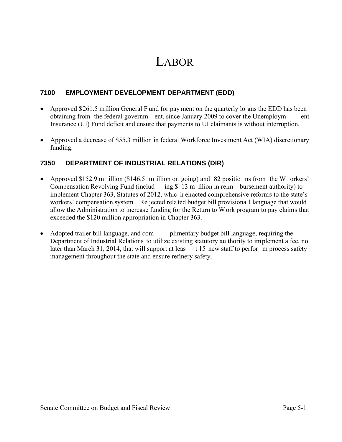# LABOR

## **7100 EMPLOYMENT DEVELOPMENT DEPARTMENT (EDD)**

- Approved \$261.5 million General F und for pay ment on the quarterly lo ans the EDD has been obtaining from the federal governm ent, since January 2009 to cover the Unemploym ent Insurance (UI) Fund deficit and ensure that payments to UI claimants is without interruption.
- Approved a decrease of \$55.3 million in federal Workforce Investment Act (WIA) discretionary funding.

### **7350 DEPARTMENT OF INDUSTRIAL RELATIONS (DIR)**

- Approved \$152.9 m illion (\$146.5 m illion on going) and 82 positio ns from the W orkers' Compensation Revolving Fund (includ ing \$ 13 m illion in reim bursement authority) to implement Chapter 363, Statutes of 2012, whic h enacted comprehensive reforms to the state's workers' compensation system . Re jected rela ted budget bill provisiona l language that would allow the Administration to increase funding for the Return to W ork program to pay claims that exceeded the \$120 million appropriation in Chapter 363.
- Adopted trailer bill language, and com plimentary budget bill language, requiring the Department of Industrial Relations to utilize existing statutory au thority to implement a fee, no later than March 31, 2014, that will support at leas  $t$  15 new staff to perfor m process safety management throughout the state and ensure refinery safety.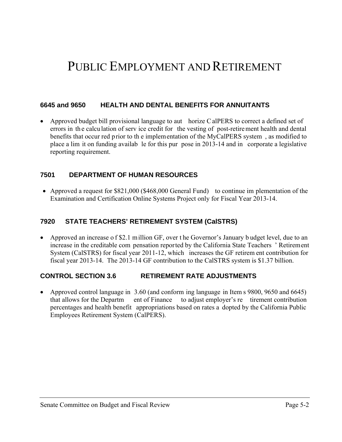# PUBLIC EMPLOYMENT AND RETIREMENT

#### **6645 and 9650 HEALTH AND DENTAL BENEFITS FOR ANNUITANTS**

• Approved budget bill provisional language to aut horize C alPERS to correct a defined set of errors in the calculation of serv ice credit for the vesting of post-retirement health and dental benefits that occur red prior to th e implementation of the MyCalPERS system , as modified to place a lim it on funding availab le for this pur pose in 2013-14 and in corporate a legislative reporting requirement.

#### **7501 DEPARTMENT OF HUMAN RESOURCES**

 Approved a request for \$821,000 (\$468,000 General Fund) to continue im plementation of the Examination and Certification Online Systems Project only for Fiscal Year 2013-14.

#### **7920 STATE TEACHERS' RETIREMENT SYSTEM (CalSTRS)**

• Approved an increase of \$2.1 million GF, over the Governor's January b udget level, due to an increase in the creditable com pensation reported by the California State Teachers ' Retirement System (CalSTRS) for fiscal year 2011-12, which increases the GF retirem ent contribution for fiscal year 2013-14. The 2013-14 GF contribution to the CalSTRS system is \$1.37 billion.

#### **CONTROL SECTION 3.6 RETIREMENT RATE ADJUSTMENTS**

 Approved control language in 3.60 (and conform ing language in Item s 9800, 9650 and 6645) that allows for the Departm ent of Finance to adjust employer's re tirement contribution percentages and health benefit appropriations based on rates a dopted by the California Public Employees Retirement System (CalPERS).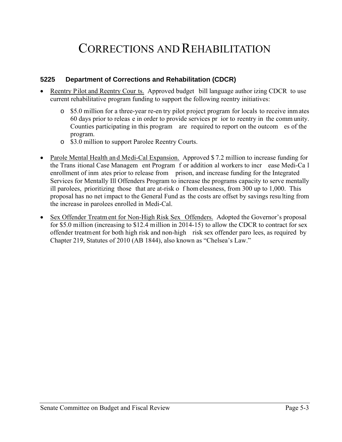# CORRECTIONS AND REHABILITATION

#### **5225 Department of Corrections and Rehabilitation (CDCR)**

- Reentry Pilot and Reentry Cour ts. Approved budget bill language author izing CDCR to use current rehabilitative program funding to support the following reentry initiatives:
	- o \$5.0 million for a three-year re-en try pilot project program for locals to receive inm ates 60 days prior to releas e in order to provide services pr ior to reentry in the comm unity. Counties participating in this program are required to report on the outcom es of the program.
	- o \$3.0 million to support Parolee Reentry Courts.
- Parole Mental Health and Medi-Cal Expansion. Approved \$7.2 million to increase funding for the Trans itional Case Managem ent Program f or addition al workers to incr ease Medi-Ca l enrollment of inm ates prior to release from prison, and increase funding for the Integrated Services for Mentally Ill Offenders Program to increase the programs capacity to serve mentally ill parolees, prioritizing those that are at-risk o f hom elessness, from 300 up to 1,000. This proposal has no net impact to the General Fund as the costs are offset by savings resu lting from the increase in parolees enrolled in Medi-Cal.
- Sex Offender Treatm ent for Non-High Risk Sex Offenders. Adopted the Governor's proposal for \$5.0 million (increasing to \$12.4 million in 2014-15) to allow the CDCR to contract for sex offender treatment for both high risk and non-high risk sex offender paro lees, as required by Chapter 219, Statutes of 2010 (AB 1844), also known as "Chelsea's Law."